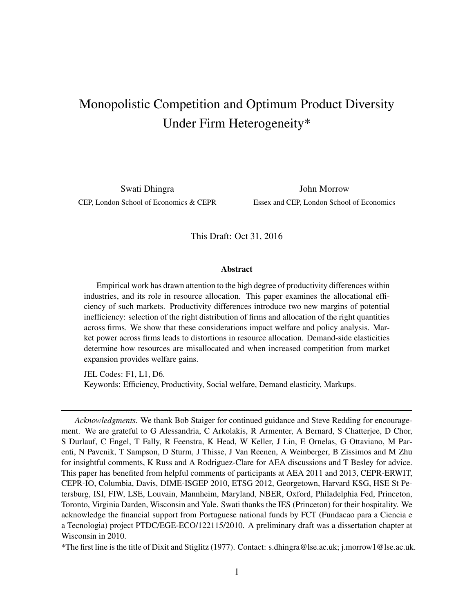# <span id="page-0-0"></span>Monopolistic Competition and Optimum Product Diversity Under Firm Heterogeneity\*

Swati Dhingra **John Morrow** CEP, London School of Economics & CEPR Essex and CEP, London School of Economics

This Draft: Oct 31, 2016

#### Abstract

Empirical work has drawn attention to the high degree of productivity differences within industries, and its role in resource allocation. This paper examines the allocational efficiency of such markets. Productivity differences introduce two new margins of potential inefficiency: selection of the right distribution of firms and allocation of the right quantities across firms. We show that these considerations impact welfare and policy analysis. Market power across firms leads to distortions in resource allocation. Demand-side elasticities determine how resources are misallocated and when increased competition from market expansion provides welfare gains.

JEL Codes: F1, L1, D6. Keywords: Efficiency, Productivity, Social welfare, Demand elasticity, Markups.

*Acknowledgments.* We thank Bob Staiger for continued guidance and Steve Redding for encouragement. We are grateful to G Alessandria, C Arkolakis, R Armenter, A Bernard, S Chatterjee, D Chor, S Durlauf, C Engel, T Fally, R Feenstra, K Head, W Keller, J Lin, E Ornelas, G Ottaviano, M Parenti, N Pavcnik, T Sampson, D Sturm, J Thisse, J Van Reenen, A Weinberger, B Zissimos and M Zhu for insightful comments, K Russ and A Rodriguez-Clare for AEA discussions and T Besley for advice. This paper has benefited from helpful comments of participants at AEA 2011 and 2013, CEPR-ERWIT, CEPR-IO, Columbia, Davis, DIME-ISGEP 2010, ETSG 2012, Georgetown, Harvard KSG, HSE St Petersburg, ISI, FIW, LSE, Louvain, Mannheim, Maryland, NBER, Oxford, Philadelphia Fed, Princeton, Toronto, Virginia Darden, Wisconsin and Yale. Swati thanks the IES (Princeton) for their hospitality. We acknowledge the financial support from Portuguese national funds by FCT (Fundacao para a Ciencia e a Tecnologia) project PTDC/EGE-ECO/122115/2010. A preliminary draft was a dissertation chapter at Wisconsin in 2010.

<sup>\*</sup>The first line is the title of Dixit and Stiglitz (1977). Contact: s.dhingra@lse.ac.uk; j.morrow1@lse.ac.uk.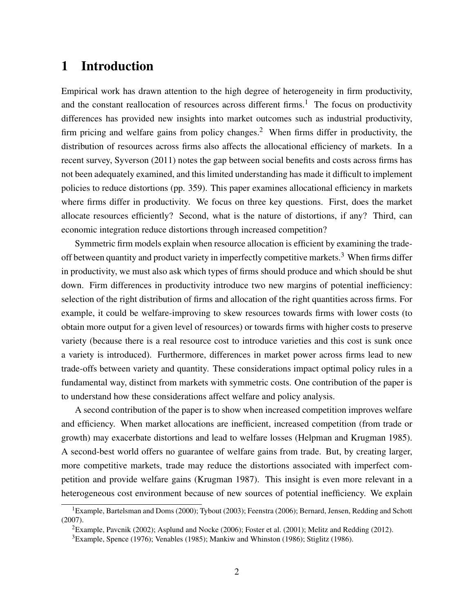# 1 Introduction

Empirical work has drawn attention to the high degree of heterogeneity in firm productivity, and the constant reallocation of resources across different firms.<sup>[1](#page-0-0)</sup> The focus on productivity differences has provided new insights into market outcomes such as industrial productivity, firm pricing and welfare gains from policy changes.<sup>[2](#page-0-0)</sup> When firms differ in productivity, the distribution of resources across firms also affects the allocational efficiency of markets. In a recent survey, [Syverson](#page-28-0) [\(2011\)](#page-28-0) notes the gap between social benefits and costs across firms has not been adequately examined, and this limited understanding has made it difficult to implement policies to reduce distortions (pp. 359). This paper examines allocational efficiency in markets where firms differ in productivity. We focus on three key questions. First, does the market allocate resources efficiently? Second, what is the nature of distortions, if any? Third, can economic integration reduce distortions through increased competition?

Symmetric firm models explain when resource allocation is efficient by examining the trade-off between quantity and product variety in imperfectly competitive markets.<sup>[3](#page-0-0)</sup> When firms differ in productivity, we must also ask which types of firms should produce and which should be shut down. Firm differences in productivity introduce two new margins of potential inefficiency: selection of the right distribution of firms and allocation of the right quantities across firms. For example, it could be welfare-improving to skew resources towards firms with lower costs (to obtain more output for a given level of resources) or towards firms with higher costs to preserve variety (because there is a real resource cost to introduce varieties and this cost is sunk once a variety is introduced). Furthermore, differences in market power across firms lead to new trade-offs between variety and quantity. These considerations impact optimal policy rules in a fundamental way, distinct from markets with symmetric costs. One contribution of the paper is to understand how these considerations affect welfare and policy analysis.

A second contribution of the paper is to show when increased competition improves welfare and efficiency. When market allocations are inefficient, increased competition (from trade or growth) may exacerbate distortions and lead to welfare losses [\(Helpman and Krugman 1985\)](#page-26-0). A second-best world offers no guarantee of welfare gains from trade. But, by creating larger, more competitive markets, trade may reduce the distortions associated with imperfect competition and provide welfare gains [\(Krugman 1987\)](#page-27-0). This insight is even more relevant in a heterogeneous cost environment because of new sources of potential inefficiency. We explain

<sup>&</sup>lt;sup>1</sup>Example, [Bartelsman and Doms](#page-25-0) [\(2000\)](#page-25-0); [Tybout](#page-28-1) [\(2003\)](#page-28-1); [Feenstra](#page-26-1) [\(2006\)](#page-26-1); [Bernard, Jensen, Redding and Schott](#page-25-1) [\(2007\)](#page-25-1).

<sup>2</sup>Example, [Pavcnik](#page-28-2) [\(2002\)](#page-28-2); [Asplund and Nocke](#page-24-0) [\(2006\)](#page-24-0); [Foster et al.](#page-26-2) [\(2001\)](#page-26-2); [Melitz and Redding](#page-27-1) [\(2012\)](#page-27-1).

<sup>3</sup>Example, [Spence](#page-28-3) [\(1976\)](#page-28-3); [Venables](#page-28-4) [\(1985\)](#page-28-4); [Mankiw and Whinston](#page-27-2) [\(1986\)](#page-27-2); [Stiglitz](#page-28-5) [\(1986\)](#page-28-5).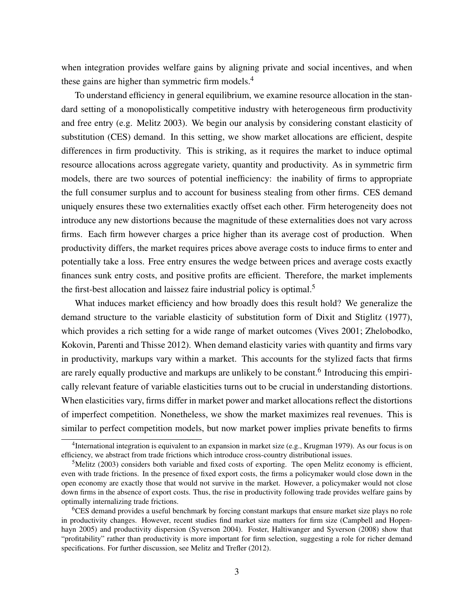when integration provides welfare gains by aligning private and social incentives, and when these gains are higher than symmetric firm models. $4$ 

To understand efficiency in general equilibrium, we examine resource allocation in the standard setting of a monopolistically competitive industry with heterogeneous firm productivity and free entry (e.g. [Melitz 2003\)](#page-27-3). We begin our analysis by considering constant elasticity of substitution (CES) demand. In this setting, we show market allocations are efficient, despite differences in firm productivity. This is striking, as it requires the market to induce optimal resource allocations across aggregate variety, quantity and productivity. As in symmetric firm models, there are two sources of potential inefficiency: the inability of firms to appropriate the full consumer surplus and to account for business stealing from other firms. CES demand uniquely ensures these two externalities exactly offset each other. Firm heterogeneity does not introduce any new distortions because the magnitude of these externalities does not vary across firms. Each firm however charges a price higher than its average cost of production. When productivity differs, the market requires prices above average costs to induce firms to enter and potentially take a loss. Free entry ensures the wedge between prices and average costs exactly finances sunk entry costs, and positive profits are efficient. Therefore, the market implements the first-best allocation and laissez faire industrial policy is optimal.<sup>[5](#page-0-0)</sup>

What induces market efficiency and how broadly does this result hold? We generalize the demand structure to the variable elasticity of substitution form of [Dixit and Stiglitz](#page-25-2) [\(1977\)](#page-25-2), which provides a rich setting for a wide range of market outcomes [\(Vives 2001;](#page-28-6) [Zhelobodko,](#page-28-7) [Kokovin, Parenti and Thisse 2012\)](#page-28-7). When demand elasticity varies with quantity and firms vary in productivity, markups vary within a market. This accounts for the stylized facts that firms are rarely equally productive and markups are unlikely to be constant.<sup>[6](#page-0-0)</sup> Introducing this empirically relevant feature of variable elasticities turns out to be crucial in understanding distortions. When elasticities vary, firms differ in market power and market allocations reflect the distortions of imperfect competition. Nonetheless, we show the market maximizes real revenues. This is similar to perfect competition models, but now market power implies private benefits to firms

<sup>&</sup>lt;sup>4</sup>International integration is equivalent to an expansion in market size (e.g., [Krugman 1979\)](#page-26-3). As our focus is on efficiency, we abstract from trade frictions which introduce cross-country distributional issues.

 $5$ [Melitz](#page-27-3) [\(2003\)](#page-27-3) considers both variable and fixed costs of exporting. The open Melitz economy is efficient, even with trade frictions. In the presence of fixed export costs, the firms a policymaker would close down in the open economy are exactly those that would not survive in the market. However, a policymaker would not close down firms in the absence of export costs. Thus, the rise in productivity following trade provides welfare gains by optimally internalizing trade frictions.

<sup>&</sup>lt;sup>6</sup>CES demand provides a useful benchmark by forcing constant markups that ensure market size plays no role in productivity changes. However, recent studies find market size matters for firm size [\(Campbell and Hopen](#page-25-3)[hayn 2005\)](#page-25-3) and productivity dispersion [\(Syverson 2004\)](#page-28-8). [Foster, Haltiwanger and Syverson](#page-26-4) [\(2008\)](#page-26-4) show that "profitability" rather than productivity is more important for firm selection, suggesting a role for richer demand specifications. For further discussion, see [Melitz and Trefler](#page-27-4) [\(2012\)](#page-27-4).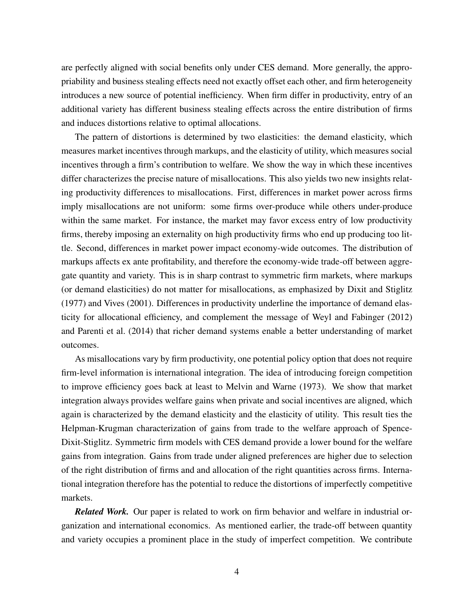are perfectly aligned with social benefits only under CES demand. More generally, the appropriability and business stealing effects need not exactly offset each other, and firm heterogeneity introduces a new source of potential inefficiency. When firm differ in productivity, entry of an additional variety has different business stealing effects across the entire distribution of firms and induces distortions relative to optimal allocations.

The pattern of distortions is determined by two elasticities: the demand elasticity, which measures market incentives through markups, and the elasticity of utility, which measures social incentives through a firm's contribution to welfare. We show the way in which these incentives differ characterizes the precise nature of misallocations. This also yields two new insights relating productivity differences to misallocations. First, differences in market power across firms imply misallocations are not uniform: some firms over-produce while others under-produce within the same market. For instance, the market may favor excess entry of low productivity firms, thereby imposing an externality on high productivity firms who end up producing too little. Second, differences in market power impact economy-wide outcomes. The distribution of markups affects ex ante profitability, and therefore the economy-wide trade-off between aggregate quantity and variety. This is in sharp contrast to symmetric firm markets, where markups (or demand elasticities) do not matter for misallocations, as emphasized by [Dixit and Stiglitz](#page-25-2) [\(1977\)](#page-25-2) and [Vives](#page-28-6) [\(2001\)](#page-28-6). Differences in productivity underline the importance of demand elasticity for allocational efficiency, and complement the message of [Weyl and Fabinger](#page-28-9) [\(2012\)](#page-28-9) and [Parenti et al.](#page-27-5) [\(2014\)](#page-27-5) that richer demand systems enable a better understanding of market outcomes.

As misallocations vary by firm productivity, one potential policy option that does not require firm-level information is international integration. The idea of introducing foreign competition to improve efficiency goes back at least to [Melvin and Warne](#page-27-6) [\(1973\)](#page-27-6). We show that market integration always provides welfare gains when private and social incentives are aligned, which again is characterized by the demand elasticity and the elasticity of utility. This result ties the Helpman-Krugman characterization of gains from trade to the welfare approach of Spence-Dixit-Stiglitz. Symmetric firm models with CES demand provide a lower bound for the welfare gains from integration. Gains from trade under aligned preferences are higher due to selection of the right distribution of firms and and allocation of the right quantities across firms. International integration therefore has the potential to reduce the distortions of imperfectly competitive markets.

*Related Work.* Our paper is related to work on firm behavior and welfare in industrial organization and international economics. As mentioned earlier, the trade-off between quantity and variety occupies a prominent place in the study of imperfect competition. We contribute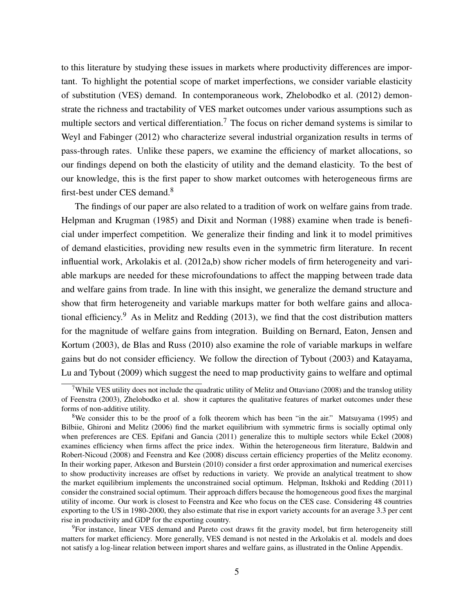to this literature by studying these issues in markets where productivity differences are important. To highlight the potential scope of market imperfections, we consider variable elasticity of substitution (VES) demand. In contemporaneous work, [Zhelobodko et al.](#page-28-7) [\(2012\)](#page-28-7) demonstrate the richness and tractability of VES market outcomes under various assumptions such as multiple sectors and vertical differentiation.<sup>[7](#page-0-0)</sup> The focus on richer demand systems is similar to [Weyl and Fabinger](#page-28-9) [\(2012\)](#page-28-9) who characterize several industrial organization results in terms of pass-through rates. Unlike these papers, we examine the efficiency of market allocations, so our findings depend on both the elasticity of utility and the demand elasticity. To the best of our knowledge, this is the first paper to show market outcomes with heterogeneous firms are first-best under CES demand.<sup>[8](#page-0-0)</sup>

The findings of our paper are also related to a tradition of work on welfare gains from trade. [Helpman and Krugman](#page-26-0) [\(1985\)](#page-26-0) and [Dixit and Norman](#page-26-5) [\(1988\)](#page-26-5) examine when trade is beneficial under imperfect competition. We generalize their finding and link it to model primitives of demand elasticities, providing new results even in the symmetric firm literature. In recent influential work, [Arkolakis et al.](#page-24-1) [\(2012a,](#page-24-1)[b\)](#page-24-2) show richer models of firm heterogeneity and variable markups are needed for these microfoundations to affect the mapping between trade data and welfare gains from trade. In line with this insight, we generalize the demand structure and show that firm heterogeneity and variable markups matter for both welfare gains and alloca-tional efficiency.<sup>[9](#page-0-0)</sup> As in [Melitz and Redding](#page-27-7) [\(2013\)](#page-27-7), we find that the cost distribution matters for the magnitude of welfare gains from integration. Building on [Bernard, Eaton, Jensen and](#page-25-4) [Kortum](#page-25-4) [\(2003\)](#page-25-4), [de Blas and Russ](#page-25-5) [\(2010\)](#page-25-5) also examine the role of variable markups in welfare gains but do not consider efficiency. We follow the direction of [Tybout](#page-28-1) [\(2003\)](#page-28-1) and [Katayama,](#page-26-6) [Lu and Tybout](#page-26-6) [\(2009\)](#page-26-6) which suggest the need to map productivity gains to welfare and optimal

<sup>&</sup>lt;sup>7</sup>While VES utility does not include the quadratic utility of [Melitz and Ottaviano](#page-27-8) [\(2008\)](#page-27-8) and the translog utility of [Feenstra](#page-26-7) [\(2003\)](#page-26-7), [Zhelobodko et al.](#page-28-7) show it captures the qualitative features of market outcomes under these forms of non-additive utility.

<sup>8</sup>We consider this to be the proof of a folk theorem which has been "in the air." [Matsuyama](#page-27-9) [\(1995\)](#page-27-9) and [Bilbiie, Ghironi and Melitz](#page-25-6) [\(2006\)](#page-25-6) find the market equilibrium with symmetric firms is socially optimal only when preferences are CES. [Epifani and Gancia](#page-26-8) [\(2011\)](#page-26-8) generalize this to multiple sectors while [Eckel](#page-26-9) [\(2008\)](#page-26-9) examines efficiency when firms affect the price index. Within the heterogeneous firm literature, [Baldwin and](#page-25-7) [Robert-Nicoud](#page-25-7) [\(2008\)](#page-25-7) and [Feenstra and Kee](#page-26-10) [\(2008\)](#page-26-10) discuss certain efficiency properties of the Melitz economy. In their working paper, [Atkeson and Burstein](#page-25-8) [\(2010\)](#page-25-8) consider a first order approximation and numerical exercises to show productivity increases are offset by reductions in variety. We provide an analytical treatment to show the market equilibrium implements the unconstrained social optimum. [Helpman, Itskhoki and Redding](#page-26-11) [\(2011\)](#page-26-11) consider the constrained social optimum. Their approach differs because the homogeneous good fixes the marginal utility of income. Our work is closest to [Feenstra and Kee](#page-26-10) who focus on the CES case. Considering 48 countries exporting to the US in 1980-2000, they also estimate that rise in export variety accounts for an average 3.3 per cent rise in productivity and GDP for the exporting country.

<sup>&</sup>lt;sup>9</sup>For instance, linear VES demand and Pareto cost draws fit the gravity model, but firm heterogeneity still matters for market efficiency. More generally, VES demand is not nested in the Arkolakis et al. models and does not satisfy a log-linear relation between import shares and welfare gains, as illustrated in the Online Appendix.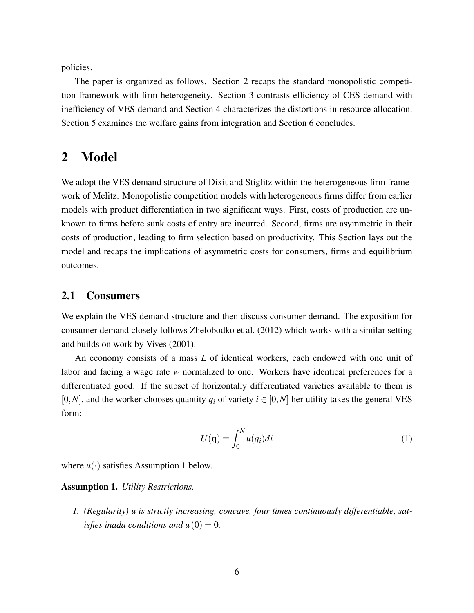policies.

The paper is organized as follows. Section 2 recaps the standard monopolistic competition framework with firm heterogeneity. Section 3 contrasts efficiency of CES demand with inefficiency of VES demand and Section 4 characterizes the distortions in resource allocation. Section 5 examines the welfare gains from integration and Section 6 concludes.

# 2 Model

We adopt the VES demand structure of Dixit and Stiglitz within the heterogeneous firm framework of Melitz. Monopolistic competition models with heterogeneous firms differ from earlier models with product differentiation in two significant ways. First, costs of production are unknown to firms before sunk costs of entry are incurred. Second, firms are asymmetric in their costs of production, leading to firm selection based on productivity. This Section lays out the model and recaps the implications of asymmetric costs for consumers, firms and equilibrium outcomes.

# 2.1 Consumers

We explain the VES demand structure and then discuss consumer demand. The exposition for consumer demand closely follows [Zhelobodko et al.](#page-28-7) [\(2012\)](#page-28-7) which works with a similar setting and builds on work by [Vives](#page-28-6) [\(2001\)](#page-28-6).

An economy consists of a mass *L* of identical workers, each endowed with one unit of labor and facing a wage rate *w* normalized to one. Workers have identical preferences for a differentiated good. If the subset of horizontally differentiated varieties available to them is [0,*N*], and the worker chooses quantity  $q_i$  of variety  $i \in [0,N]$  her utility takes the general VES form:

<span id="page-5-1"></span>
$$
U(\mathbf{q}) \equiv \int_0^N u(q_i)di
$$
 (1)

where  $u(\cdot)$  satisfies Assumption [1](#page-5-0) below.

#### <span id="page-5-0"></span>Assumption 1. *Utility Restrictions.*

*1. (Regularity) u is strictly increasing, concave, four times continuously differentiable, satisfies inada conditions and u* $(0) = 0$ *.*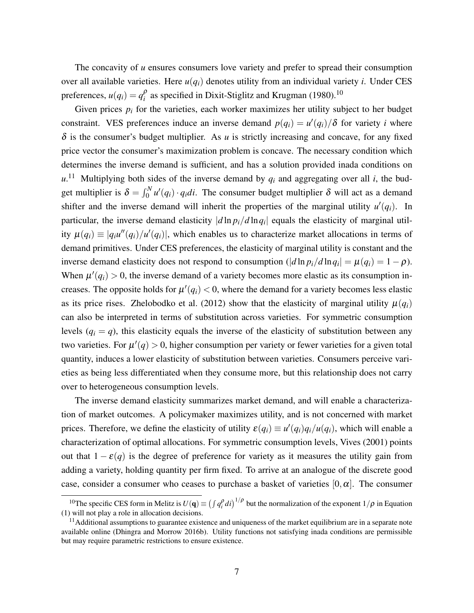The concavity of *u* ensures consumers love variety and prefer to spread their consumption over all available varieties. Here  $u(q_i)$  denotes utility from an individual variety *i*. Under CES preferences,  $u(q_i) = q_i^{\rho}$  $\frac{\rho}{i}$  as specified in Dixit-Stiglitz and [Krugman](#page-27-10) [\(1980\)](#page-27-10).<sup>[10](#page-0-0)</sup>

Given prices  $p_i$  for the varieties, each worker maximizes her utility subject to her budget constraint. VES preferences induce an inverse demand  $p(q_i) = u'(q_i)/\delta$  for variety *i* where  $\delta$  is the consumer's budget multiplier. As *u* is strictly increasing and concave, for any fixed price vector the consumer's maximization problem is concave. The necessary condition which determines the inverse demand is sufficient, and has a solution provided inada conditions on  $u^{11}$  $u^{11}$  $u^{11}$  Multiplying both sides of the inverse demand by  $q_i$  and aggregating over all *i*, the budget multiplier is  $\delta = \int_0^N u'(q_i) \cdot q_i di$ . The consumer budget multiplier  $\delta$  will act as a demand shifter and the inverse demand will inherit the properties of the marginal utility  $u'(q_i)$ . In particular, the inverse demand elasticity  $|d \ln p_i/d \ln q_i|$  equals the elasticity of marginal utility  $\mu(q_i) \equiv |q_i u''(q_i)/u'(q_i)|$ , which enables us to characterize market allocations in terms of demand primitives. Under CES preferences, the elasticity of marginal utility is constant and the inverse demand elasticity does not respond to consumption  $(|d \ln p_i/d \ln q_i| = \mu(q_i) = 1 - \rho)$ . When  $\mu'(q_i) > 0$ , the inverse demand of a variety becomes more elastic as its consumption increases. The opposite holds for  $\mu'(q_i) < 0$ , where the demand for a variety becomes less elastic as its price rises. [Zhelobodko et al.](#page-28-7) [\(2012\)](#page-28-7) show that the elasticity of marginal utility  $\mu(q_i)$ can also be interpreted in terms of substitution across varieties. For symmetric consumption levels  $(q_i = q)$ , this elasticity equals the inverse of the elasticity of substitution between any two varieties. For  $\mu'(q) > 0$ , higher consumption per variety or fewer varieties for a given total quantity, induces a lower elasticity of substitution between varieties. Consumers perceive varieties as being less differentiated when they consume more, but this relationship does not carry over to heterogeneous consumption levels.

The inverse demand elasticity summarizes market demand, and will enable a characterization of market outcomes. A policymaker maximizes utility, and is not concerned with market prices. Therefore, we define the elasticity of utility  $\varepsilon(q_i) \equiv u'(q_i)q_i/u(q_i)$ , which will enable a characterization of optimal allocations. For symmetric consumption levels, [Vives](#page-28-6) [\(2001\)](#page-28-6) points out that  $1 - \varepsilon(q)$  is the degree of preference for variety as it measures the utility gain from adding a variety, holding quantity per firm fixed. To arrive at an analogue of the discrete good case, consider a consumer who ceases to purchase a basket of varieties  $[0, \alpha]$ . The consumer

<sup>&</sup>lt;sup>10</sup>The specific CES form in Melitz is  $U(q) \equiv (\int q_i^{\rho} di)^{1/\rho}$  but the normalization of the exponent  $1/\rho$  in Equation [\(1\)](#page-5-1) will not play a role in allocation decisions.

 $<sup>11</sup>$ Additional assumptions to guarantee existence and uniqueness of the market equilibrium are in a separate note</sup> available online [\(Dhingra and Morrow 2016b\)](#page-25-9). Utility functions not satisfying inada conditions are permissible but may require parametric restrictions to ensure existence.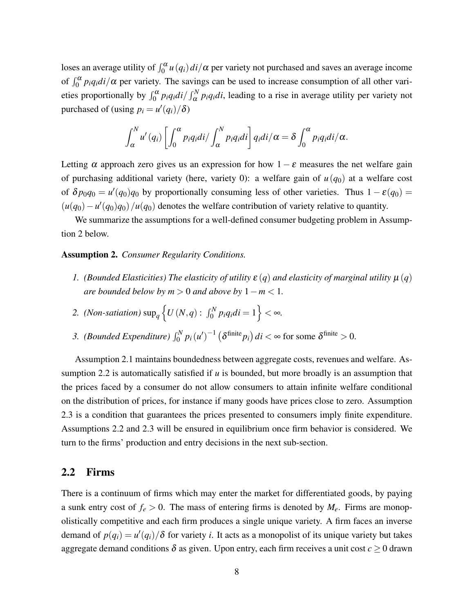loses an average utility of  $\int_0^\alpha u(q_i) di/\alpha$  per variety not purchased and saves an average income of  $\int_0^{\alpha} p_i q_i di/\alpha$  per variety. The savings can be used to increase consumption of all other varieties proportionally by  $\int_0^\alpha p_i q_i di / \int_\alpha^N p_i q_i di$ , leading to a rise in average utility per variety not purchased of (using  $p_i = u'(q_i)/\delta$ )

$$
\int_{\alpha}^{N} u'(q_i) \left[ \int_{0}^{\alpha} p_i q_i di / \int_{\alpha}^{N} p_i q_i di \right] q_i di / \alpha = \delta \int_{0}^{\alpha} p_i q_i di / \alpha.
$$

Letting  $\alpha$  approach zero gives us an expression for how  $1 - \varepsilon$  measures the net welfare gain of purchasing additional variety (here, variety 0): a welfare gain of  $u(q_0)$  at a welfare cost of  $\delta p_0 q_0 = u'(q_0) q_0$  by proportionally consuming less of other varieties. Thus  $1 - \varepsilon(q_0) =$  $(u(q_0) - u'(q_0)q_0)/u(q_0)$  denotes the welfare contribution of variety relative to quantity.

We summarize the assumptions for a well-defined consumer budgeting problem in Assumption [2](#page-7-0) below.

#### <span id="page-7-0"></span>Assumption 2. *Consumer Regularity Conditions.*

*1.* (Bounded Elasticities) The elasticity of utility  $\varepsilon$  (*q*) and elasticity of marginal utility  $\mu$  (*q*) *are bounded below by*  $m > 0$  *and above by*  $1 - m < 1$ *.* 

2. *(Non-satiation)* sup<sub>q</sub> 
$$
\left\{ U(N,q) : \int_0^N p_i q_i di = 1 \right\} < \infty.
$$

*3. (Bounded Expenditure)*  $\int_0^N p_i (u')^{-1} (\delta^{\text{finite}} p_i) dt < \infty$  for some  $\delta^{\text{finite}} > 0$ .

Assumption [2.](#page-7-0)1 maintains boundedness between aggregate costs, revenues and welfare. Assumption [2.](#page-7-0)2 is automatically satisfied if *u* is bounded, but more broadly is an assumption that the prices faced by a consumer do not allow consumers to attain infinite welfare conditional on the distribution of prices, for instance if many goods have prices close to zero. Assumption [2.](#page-7-0)3 is a condition that guarantees the prices presented to consumers imply finite expenditure. Assumptions [2.](#page-7-0)2 and [2.](#page-7-0)3 will be ensured in equilibrium once firm behavior is considered. We turn to the firms' production and entry decisions in the next sub-section.

### 2.2 Firms

There is a continuum of firms which may enter the market for differentiated goods, by paying a sunk entry cost of  $f_e > 0$ . The mass of entering firms is denoted by  $M_e$ . Firms are monopolistically competitive and each firm produces a single unique variety. A firm faces an inverse demand of  $p(q_i) = u'(q_i)/\delta$  for variety *i*. It acts as a monopolist of its unique variety but takes aggregate demand conditions  $\delta$  as given. Upon entry, each firm receives a unit cost  $c \geq 0$  drawn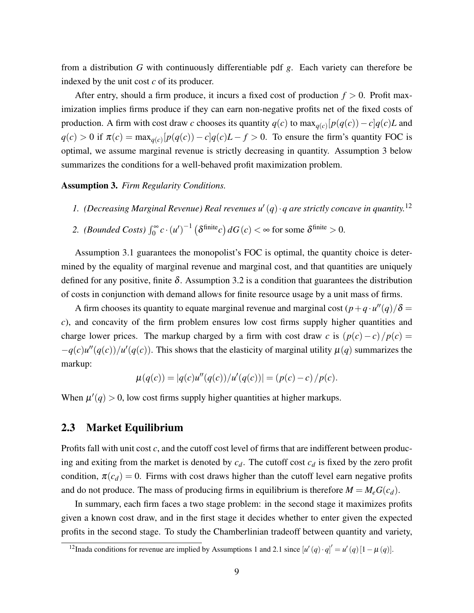from a distribution *G* with continuously differentiable pdf *g*. Each variety can therefore be indexed by the unit cost *c* of its producer.

After entry, should a firm produce, it incurs a fixed cost of production  $f > 0$ . Profit maximization implies firms produce if they can earn non-negative profits net of the fixed costs of production. A firm with cost draw *c* chooses its quantity  $q(c)$  to  $\max_{q(c)}[p(q(c)) - c]q(c)L$  and  $q(c) > 0$  if  $\pi(c) = \max_{q(c)} [p(q(c)) - c]q(c)L - f > 0$ . To ensure the firm's quantity FOC is optimal, we assume marginal revenue is strictly decreasing in quantity. Assumption [3](#page-8-0) below summarizes the conditions for a well-behaved profit maximization problem.

<span id="page-8-0"></span>Assumption 3. *Firm Regularity Conditions.*

- 1. (Decreasing Marginal Revenue) Real revenues  $u'(q) \cdot q$  are strictly concave in quantity.<sup>[12](#page-0-0)</sup>
- 2. *(Bounded Costs)*  $\int_0^{\infty} c \cdot (u')^{-1} (\delta^{\text{finite}} c) dG(c) < \infty$  for some  $\delta^{\text{finite}} > 0$ .

Assumption [3.](#page-8-0)1 guarantees the monopolist's FOC is optimal, the quantity choice is determined by the equality of marginal revenue and marginal cost, and that quantities are uniquely defined for any positive, finite  $\delta$ . Assumption [3.](#page-8-0)2 is a condition that guarantees the distribution of costs in conjunction with demand allows for finite resource usage by a unit mass of firms.

A firm chooses its quantity to equate marginal revenue and marginal cost  $(p+q\cdot u''(q)/\delta =$ *c*), and concavity of the firm problem ensures low cost firms supply higher quantities and charge lower prices. The markup charged by a firm with cost draw *c* is  $\frac{p(c)-c}{p(c)} =$  $-q(c)u''(q(c))/u'(q(c))$ . This shows that the elasticity of marginal utility  $\mu(q)$  summarizes the markup:

$$
\mu(q(c)) = |q(c)u''(q(c))/u'(q(c))| = (p(c) - c)/p(c).
$$

When  $\mu'(q) > 0$ , low cost firms supply higher quantities at higher markups.

### 2.3 Market Equilibrium

Profits fall with unit cost *c*, and the cutoff cost level of firms that are indifferent between producing and exiting from the market is denoted by  $c_d$ . The cutoff cost  $c_d$  is fixed by the zero profit condition,  $\pi(c_d) = 0$ . Firms with cost draws higher than the cutoff level earn negative profits and do not produce. The mass of producing firms in equilibrium is therefore  $M = M_e G(c_d)$ .

In summary, each firm faces a two stage problem: in the second stage it maximizes profits given a known cost draw, and in the first stage it decides whether to enter given the expected profits in the second stage. To study the Chamberlinian tradeoff between quantity and variety,

<sup>&</sup>lt;sup>12</sup>Inada conditions for revenue are implied by Assumptions [1](#page-5-0) and [2.](#page-7-0)1 since  $[u'(q) \cdot q]' = u'(q)[1 - \mu(q)].$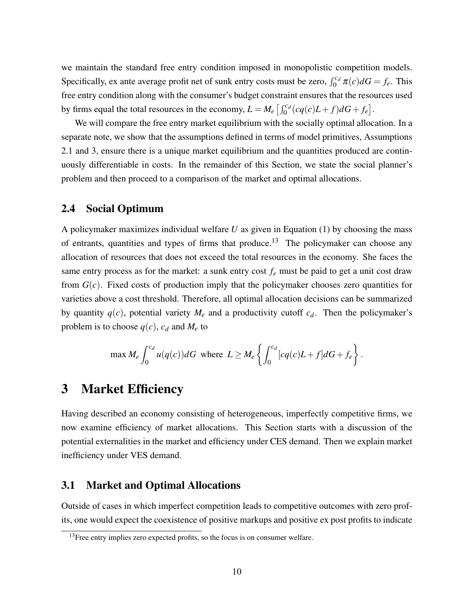we maintain the standard free entry condition imposed in monopolistic competition models. Specifically, ex ante average profit net of sunk entry costs must be zero,  $\int_0^{c_d} \pi(c) dG = f_e$ . This free entry condition along with the consumer's budget constraint ensures that the resources used by firms equal the total resources in the economy,  $L = M_e \left[ \int_0^{c_d} (cq(c)L + f)dG + f_e \right]$ .

We will compare the free entry market equilibrium with the socially optimal allocation. In a separate note, we show that the assumptions defined in terms of model primitives, Assumptions [2.](#page-7-0)1 and [3,](#page-8-0) ensure there is a unique market equilibrium and the quantities produced are continuously differentiable in costs. In the remainder of this Section, we state the social planner's problem and then proceed to a comparison of the market and optimal allocations.

# 2.4 Social Optimum

A policymaker maximizes individual welfare *U* as given in Equation [\(1\)](#page-5-1) by choosing the mass of entrants, quantities and types of firms that produce.<sup>[13](#page-0-0)</sup> The policymaker can choose any allocation of resources that does not exceed the total resources in the economy. She faces the same entry process as for the market: a sunk entry cost  $f_e$  must be paid to get a unit cost draw from  $G(c)$ . Fixed costs of production imply that the policymaker chooses zero quantities for varieties above a cost threshold. Therefore, all optimal allocation decisions can be summarized by quantity  $q(c)$ , potential variety  $M_e$  and a productivity cutoff  $c_d$ . Then the policymaker's problem is to choose  $q(c)$ ,  $c_d$  and  $M_e$  to

$$
\max M_e \int_0^{c_d} u(q(c))dG \text{ where } L \ge M_e \left\{ \int_0^{c_d} [cq(c)L+f]dG+f_e \right\}.
$$

# 3 Market Efficiency

Having described an economy consisting of heterogeneous, imperfectly competitive firms, we now examine efficiency of market allocations. This Section starts with a discussion of the potential externalities in the market and efficiency under CES demand. Then we explain market inefficiency under VES demand.

# 3.1 Market and Optimal Allocations

Outside of cases in which imperfect competition leads to competitive outcomes with zero profits, one would expect the coexistence of positive markups and positive ex post profits to indicate

<sup>&</sup>lt;sup>13</sup>Free entry implies zero expected profits, so the focus is on consumer welfare.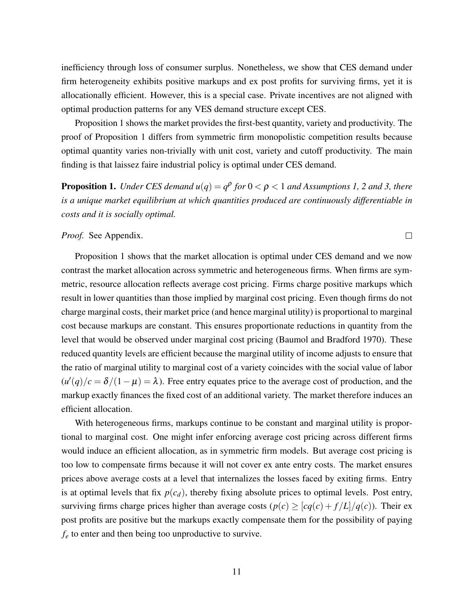inefficiency through loss of consumer surplus. Nonetheless, we show that CES demand under firm heterogeneity exhibits positive markups and ex post profits for surviving firms, yet it is allocationally efficient. However, this is a special case. Private incentives are not aligned with optimal production patterns for any VES demand structure except CES.

Proposition [1](#page-10-0) shows the market provides the first-best quantity, variety and productivity. The proof of Proposition [1](#page-10-0) differs from symmetric firm monopolistic competition results because optimal quantity varies non-trivially with unit cost, variety and cutoff productivity. The main finding is that laissez faire industrial policy is optimal under CES demand.

<span id="page-10-0"></span>**Proposition 1.** Under CES demand  $u(q) = q^{\rho}$  for  $0 < \rho < 1$  and Assumptions [1,](#page-5-0) [2](#page-7-0) and [3,](#page-8-0) there *is a unique market equilibrium at which quantities produced are continuously differentiable in costs and it is socially optimal.*

 $\Box$ 

#### *Proof.* See Appendix.

Proposition [1](#page-10-0) shows that the market allocation is optimal under CES demand and we now contrast the market allocation across symmetric and heterogeneous firms. When firms are symmetric, resource allocation reflects average cost pricing. Firms charge positive markups which result in lower quantities than those implied by marginal cost pricing. Even though firms do not charge marginal costs, their market price (and hence marginal utility) is proportional to marginal cost because markups are constant. This ensures proportionate reductions in quantity from the level that would be observed under marginal cost pricing [\(Baumol and Bradford 1970\)](#page-25-10). These reduced quantity levels are efficient because the marginal utility of income adjusts to ensure that the ratio of marginal utility to marginal cost of a variety coincides with the social value of labor  $(u'(q)/c = \delta/(1-\mu) = \lambda$ ). Free entry equates price to the average cost of production, and the markup exactly finances the fixed cost of an additional variety. The market therefore induces an efficient allocation.

With heterogeneous firms, markups continue to be constant and marginal utility is proportional to marginal cost. One might infer enforcing average cost pricing across different firms would induce an efficient allocation, as in symmetric firm models. But average cost pricing is too low to compensate firms because it will not cover ex ante entry costs. The market ensures prices above average costs at a level that internalizes the losses faced by exiting firms. Entry is at optimal levels that fix  $p(c_d)$ , thereby fixing absolute prices to optimal levels. Post entry, surviving firms charge prices higher than average costs  $(p(c) \geq [cq(c) + f/L]/q(c))$ . Their expost profits are positive but the markups exactly compensate them for the possibility of paying *f<sup>e</sup>* to enter and then being too unproductive to survive.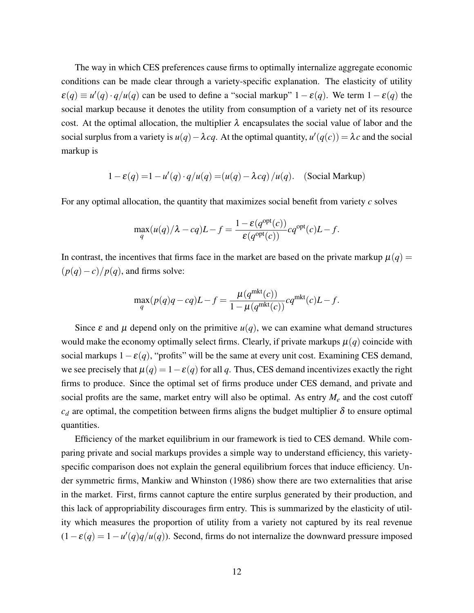The way in which CES preferences cause firms to optimally internalize aggregate economic conditions can be made clear through a variety-specific explanation. The elasticity of utility  $\varepsilon(q) \equiv u'(q) \cdot q/u(q)$  can be used to define a "social markup"  $1 - \varepsilon(q)$ . We term  $1 - \varepsilon(q)$  the social markup because it denotes the utility from consumption of a variety net of its resource cost. At the optimal allocation, the multiplier  $\lambda$  encapsulates the social value of labor and the social surplus from a variety is  $u(q) - \lambda cq$ . At the optimal quantity,  $u'(q(c)) = \lambda c$  and the social markup is

$$
1 - \varepsilon(q) = 1 - u'(q) \cdot q/u(q) = (u(q) - \lambda cq) / u(q).
$$
 (Social Markup)

For any optimal allocation, the quantity that maximizes social benefit from variety *c* solves

$$
\max_q (u(q)/\lambda - cq)L - f = \frac{1 - \varepsilon(q^{\text{opt}}(c))}{\varepsilon(q^{\text{opt}}(c))}cq^{\text{opt}}(c)L - f.
$$

In contrast, the incentives that firms face in the market are based on the private markup  $\mu(q)$  =  $\frac{p(q)-c}{p(q)}$ , and firms solve:

$$
\max_q(p(q)q-cq)L-f=\frac{\mu(q^{\text{mkt}}(c))}{1-\mu(q^{\text{mkt}}(c))}cq^{\text{mkt}}(c)L-f.
$$

Since  $\varepsilon$  and  $\mu$  depend only on the primitive  $u(q)$ , we can examine what demand structures would make the economy optimally select firms. Clearly, if private markups  $\mu(q)$  coincide with social markups  $1-\varepsilon(q)$ , "profits" will be the same at every unit cost. Examining CES demand, we see precisely that  $\mu(q) = 1 - \varepsilon(q)$  for all q. Thus, CES demand incentivizes exactly the right firms to produce. Since the optimal set of firms produce under CES demand, and private and social profits are the same, market entry will also be optimal. As entry *M<sup>e</sup>* and the cost cutoff  $c_d$  are optimal, the competition between firms aligns the budget multiplier  $\delta$  to ensure optimal quantities.

Efficiency of the market equilibrium in our framework is tied to CES demand. While comparing private and social markups provides a simple way to understand efficiency, this varietyspecific comparison does not explain the general equilibrium forces that induce efficiency. Under symmetric firms, [Mankiw and Whinston](#page-27-2) [\(1986\)](#page-27-2) show there are two externalities that arise in the market. First, firms cannot capture the entire surplus generated by their production, and this lack of appropriability discourages firm entry. This is summarized by the elasticity of utility which measures the proportion of utility from a variety not captured by its real revenue  $(1 - \varepsilon(q)) = 1 - u'(q)q/u(q)$ . Second, firms do not internalize the downward pressure imposed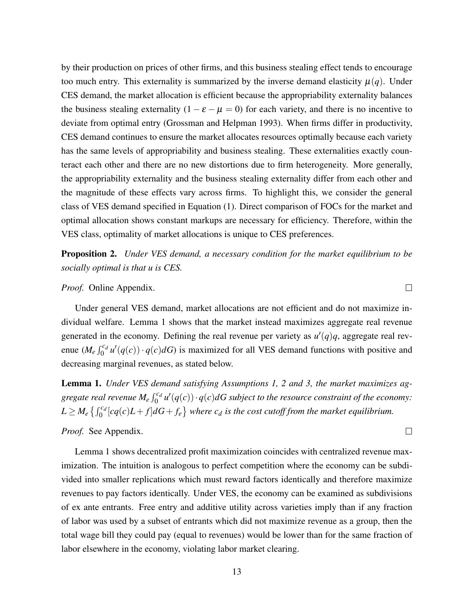by their production on prices of other firms, and this business stealing effect tends to encourage too much entry. This externality is summarized by the inverse demand elasticity  $\mu(q)$ . Under CES demand, the market allocation is efficient because the appropriability externality balances the business stealing externality  $(1 - \varepsilon - \mu = 0)$  for each variety, and there is no incentive to deviate from optimal entry [\(Grossman and Helpman 1993\)](#page-26-12). When firms differ in productivity, CES demand continues to ensure the market allocates resources optimally because each variety has the same levels of appropriability and business stealing. These externalities exactly counteract each other and there are no new distortions due to firm heterogeneity. More generally, the appropriability externality and the business stealing externality differ from each other and the magnitude of these effects vary across firms. To highlight this, we consider the general class of VES demand specified in Equation [\(1\)](#page-5-1). Direct comparison of FOCs for the market and optimal allocation shows constant markups are necessary for efficiency. Therefore, within the VES class, optimality of market allocations is unique to CES preferences.

Proposition 2. *Under VES demand, a necessary condition for the market equilibrium to be socially optimal is that u is CES.*

#### *Proof.* Online Appendix.

Under general VES demand, market allocations are not efficient and do not maximize individual welfare. Lemma [1](#page-12-0) shows that the market instead maximizes aggregate real revenue generated in the economy. Defining the real revenue per variety as  $u'(q)q$ , aggregate real revenue  $(M_e \int_0^{c_d} u'(q(c)) \cdot q(c) dG$  is maximized for all VES demand functions with positive and decreasing marginal revenues, as stated below.

<span id="page-12-0"></span>Lemma 1. *Under VES demand satisfying Assumptions [1,](#page-5-0) [2](#page-7-0) and [3,](#page-8-0) the market maximizes ag*gregate real revenue  $M_e \int_0^{c_d} u'(q(c)) \cdot q(c) dG$  subject to the resource constraint of the economy:  $L \geq M_e \left\{ \int_0^{c_d} [cq(c)L+f] dG+f_e \right\}$  where  $c_d$  is the cost cutoff from the market equilibrium.

#### *Proof.* See Appendix.

Lemma [1](#page-12-0) shows decentralized profit maximization coincides with centralized revenue maximization. The intuition is analogous to perfect competition where the economy can be subdivided into smaller replications which must reward factors identically and therefore maximize revenues to pay factors identically. Under VES, the economy can be examined as subdivisions of ex ante entrants. Free entry and additive utility across varieties imply than if any fraction of labor was used by a subset of entrants which did not maximize revenue as a group, then the total wage bill they could pay (equal to revenues) would be lower than for the same fraction of labor elsewhere in the economy, violating labor market clearing.

 $\Box$ 

 $\Box$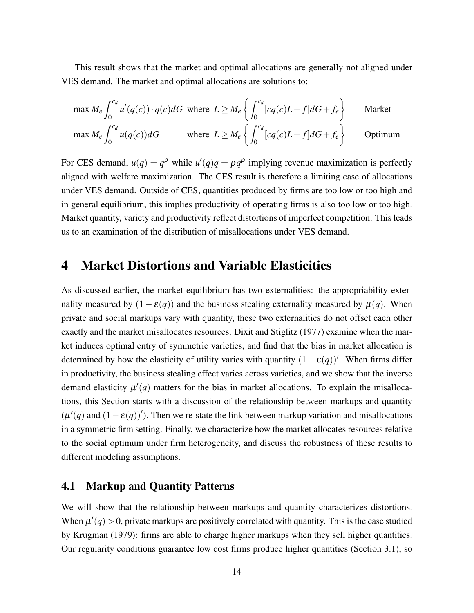This result shows that the market and optimal allocations are generally not aligned under VES demand. The market and optimal allocations are solutions to:

$$
\max M_e \int_0^{c_d} u'(q(c)) \cdot q(c) dG \text{ where } L \ge M_e \left\{ \int_0^{c_d} [cq(c)L + f] dG + f_e \right\} \qquad \text{Market}
$$
  

$$
\max M_e \int_0^{c_d} u(q(c)) dG \qquad \text{where } L \ge M_e \left\{ \int_0^{c_d} [cq(c)L + f] dG + f_e \right\} \qquad \text{Optimum}
$$

For CES demand,  $u(q) = q^{\rho}$  while  $u'(q)q = \rho q^{\rho}$  implying revenue maximization is perfectly aligned with welfare maximization. The CES result is therefore a limiting case of allocations under VES demand. Outside of CES, quantities produced by firms are too low or too high and in general equilibrium, this implies productivity of operating firms is also too low or too high. Market quantity, variety and productivity reflect distortions of imperfect competition. This leads us to an examination of the distribution of misallocations under VES demand.

# 4 Market Distortions and Variable Elasticities

As discussed earlier, the market equilibrium has two externalities: the appropriability externality measured by  $(1 - \varepsilon(q))$  and the business stealing externality measured by  $\mu(q)$ . When private and social markups vary with quantity, these two externalities do not offset each other exactly and the market misallocates resources. [Dixit and Stiglitz](#page-25-2) [\(1977\)](#page-25-2) examine when the market induces optimal entry of symmetric varieties, and find that the bias in market allocation is determined by how the elasticity of utility varies with quantity  $(1 - \varepsilon(q))'$ . When firms differ in productivity, the business stealing effect varies across varieties, and we show that the inverse demand elasticity  $\mu'(q)$  matters for the bias in market allocations. To explain the misallocations, this Section starts with a discussion of the relationship between markups and quantity  $(\mu'(q)$  and  $(1 - \varepsilon(q))'$ ). Then we re-state the link between markup variation and misallocations in a symmetric firm setting. Finally, we characterize how the market allocates resources relative to the social optimum under firm heterogeneity, and discuss the robustness of these results to different modeling assumptions.

# 4.1 Markup and Quantity Patterns

We will show that the relationship between markups and quantity characterizes distortions. When  $\mu'(q) > 0$ , private markups are positively correlated with quantity. This is the case studied by [Krugman](#page-26-3) [\(1979\)](#page-26-3): firms are able to charge higher markups when they sell higher quantities. Our regularity conditions guarantee low cost firms produce higher quantities (Section 3.1), so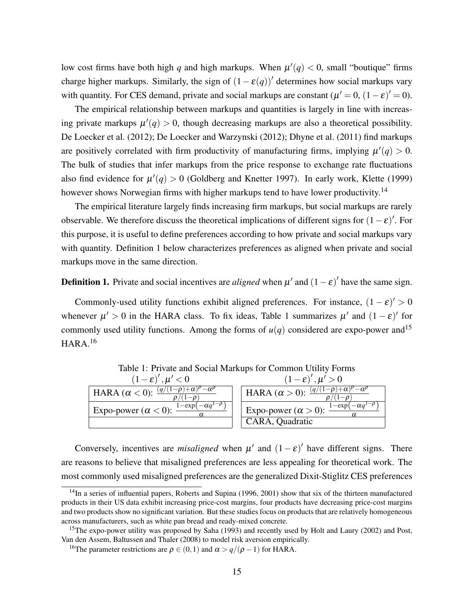low cost firms have both high *q* and high markups. When  $\mu'(q) < 0$ , small "boutique" firms charge higher markups. Similarly, the sign of  $(1 - \varepsilon(q))'$  determines how social markups vary with quantity. For CES demand, private and social markups are constant  $(\mu' = 0, (1 - \varepsilon)' = 0)$ .

The empirical relationship between markups and quantities is largely in line with increasing private markups  $\mu'(q) > 0$ , though decreasing markups are also a theoretical possibility. [De Loecker et al.](#page-27-11) [\(2012\)](#page-27-11); [De Loecker and Warzynski](#page-27-12) [\(2012\)](#page-27-12); [Dhyne et al.](#page-25-11) [\(2011\)](#page-25-11) find markups are positively correlated with firm productivity of manufacturing firms, implying  $\mu'(q) > 0$ . The bulk of studies that infer markups from the price response to exchange rate fluctuations also find evidence for  $\mu'(q) > 0$  [\(Goldberg and Knetter 1997\)](#page-26-13). In early work, [Klette](#page-26-14) [\(1999\)](#page-26-14) however shows Norwegian firms with higher markups tend to have lower productivity.<sup>[14](#page-0-0)</sup>

The empirical literature largely finds increasing firm markups, but social markups are rarely observable. We therefore discuss the theoretical implications of different signs for  $(1 - \varepsilon)'$ . For this purpose, it is useful to define preferences according to how private and social markups vary with quantity. Definition [1](#page-14-0) below characterizes preferences as aligned when private and social markups move in the same direction.

<span id="page-14-0"></span>**Definition 1.** Private and social incentives are *aligned* when  $\mu'$  and  $(1 - \varepsilon)'$  have the same sign.

Commonly-used utility functions exhibit aligned preferences. For instance,  $(1 - \varepsilon)' > 0$ whenever  $\mu' > 0$  in the HARA class. To fix ideas, Table [1](#page-14-1) summarizes  $\mu'$  and  $(1 - \varepsilon)'$  for commonly used utility functions. Among the forms of  $u(q)$  considered are expo-power and<sup>[15](#page-0-0)</sup>  $HARA.<sup>16</sup>$  $HARA.<sup>16</sup>$  $HARA.<sup>16</sup>$ 

| $(1-\varepsilon)'$ , $\mu'$ < 0                                  | $(1-\varepsilon)'$ , $\mu' > 0$                                                           |
|------------------------------------------------------------------|-------------------------------------------------------------------------------------------|
| HARA $(\alpha < 0)$ : $\frac{(q/(1-\rho)+\alpha)^p-\alpha^p}{2}$ | HARA $(\alpha > 0)$ : $\frac{(q/(1-\rho)+\alpha)^p-\alpha^p}{(1-\rho)^p}$<br>$1 - \Omega$ |
| $1-\exp(-\alpha q^{1-\rho})$<br>Expo-power ( $\alpha$ < 0):      | $1-\exp(-\alpha q^{1-\overline{\rho}})$<br>Expo-power $(\alpha > 0)$ : $\frac{1}{\alpha}$ |
|                                                                  | CARA, Quadratic                                                                           |

<span id="page-14-1"></span>Table 1: Private and Social Markups for Common Utility Forms<br>  $(1 - \frac{c}{v})'$ ,  $u' > 0$ 

Conversely, incentives are *misaligned* when  $\mu'$  and  $(1 - \varepsilon)'$  have different signs. There are reasons to believe that misaligned preferences are less appealing for theoretical work. The most commonly used misaligned preferences are the generalized Dixit-Stiglitz CES preferences

 $14$ In a series of influential papers, [Roberts and Supina](#page-28-10) [\(1996,](#page-28-10) [2001\)](#page-28-11) show that six of the thirteen manufactured products in their US data exhibit increasing price-cost margins, four products have decreasing price-cost margins and two products show no significant variation. But these studies focus on products that are relatively homogeneous across manufacturers, such as white pan bread and ready-mixed concrete.

<sup>&</sup>lt;sup>15</sup>The expo-power utility was proposed by [Saha](#page-28-12) [\(1993\)](#page-28-12) and recently used by [Holt and Laury](#page-26-15) [\(2002\)](#page-26-15) and [Post,](#page-28-13) [Van den Assem, Baltussen and Thaler](#page-28-13) [\(2008\)](#page-28-13) to model risk aversion empirically.

<sup>&</sup>lt;sup>16</sup>The parameter restrictions are  $\rho \in (0,1)$  and  $\alpha > q/(\rho - 1)$  for HARA.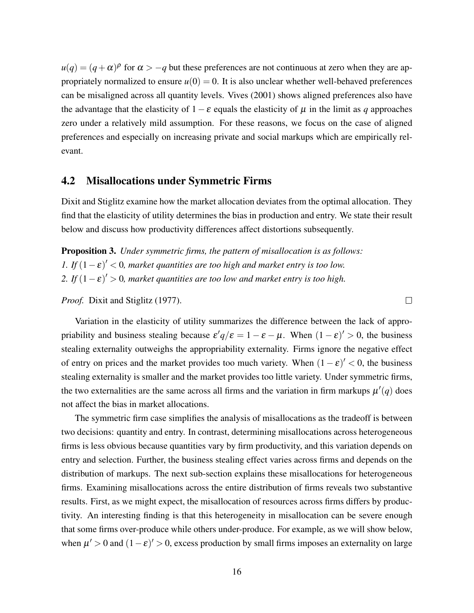$u(q) = (q + \alpha)^p$  for  $\alpha > -q$  but these preferences are not continuous at zero when they are appropriately normalized to ensure  $u(0) = 0$ . It is also unclear whether well-behaved preferences can be misaligned across all quantity levels. [Vives](#page-28-6) [\(2001\)](#page-28-6) shows aligned preferences also have the advantage that the elasticity of  $1-\varepsilon$  equals the elasticity of  $\mu$  in the limit as *q* approaches zero under a relatively mild assumption. For these reasons, we focus on the case of aligned preferences and especially on increasing private and social markups which are empirically relevant.

### 4.2 Misallocations under Symmetric Firms

Dixit and Stiglitz examine how the market allocation deviates from the optimal allocation. They find that the elasticity of utility determines the bias in production and entry. We state their result below and discuss how productivity differences affect distortions subsequently.

<span id="page-15-0"></span>Proposition 3. *Under symmetric firms, the pattern of misallocation is as follows: 1.* If  $(1 - \varepsilon)' < 0$ , market quantities are too high and market entry is too low. 2. If  $(1 - \varepsilon)' > 0$ , market quantities are too low and market entry is too high.

*Proof.* [Dixit and Stiglitz](#page-25-2) [\(1977\)](#page-25-2).

Variation in the elasticity of utility summarizes the difference between the lack of appropriability and business stealing because  $\varepsilon' q/\varepsilon = 1 - \varepsilon - \mu$ . When  $(1 - \varepsilon)' > 0$ , the business stealing externality outweighs the appropriability externality. Firms ignore the negative effect of entry on prices and the market provides too much variety. When  $(1 - \varepsilon)' < 0$ , the business stealing externality is smaller and the market provides too little variety. Under symmetric firms, the two externalities are the same across all firms and the variation in firm markups  $\mu'(q)$  does not affect the bias in market allocations.

 $\Box$ 

The symmetric firm case simplifies the analysis of misallocations as the tradeoff is between two decisions: quantity and entry. In contrast, determining misallocations across heterogeneous firms is less obvious because quantities vary by firm productivity, and this variation depends on entry and selection. Further, the business stealing effect varies across firms and depends on the distribution of markups. The next sub-section explains these misallocations for heterogeneous firms. Examining misallocations across the entire distribution of firms reveals two substantive results. First, as we might expect, the misallocation of resources across firms differs by productivity. An interesting finding is that this heterogeneity in misallocation can be severe enough that some firms over-produce while others under-produce. For example, as we will show below, when  $\mu' > 0$  and  $(1 - \varepsilon)' > 0$ , excess production by small firms imposes an externality on large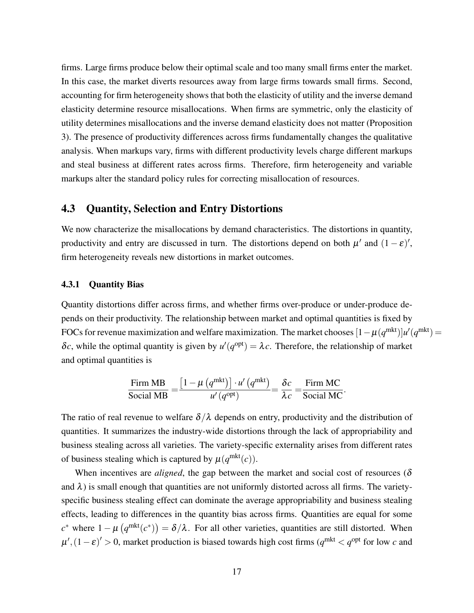firms. Large firms produce below their optimal scale and too many small firms enter the market. In this case, the market diverts resources away from large firms towards small firms. Second, accounting for firm heterogeneity shows that both the elasticity of utility and the inverse demand elasticity determine resource misallocations. When firms are symmetric, only the elasticity of utility determines misallocations and the inverse demand elasticity does not matter (Proposition [3\)](#page-15-0). The presence of productivity differences across firms fundamentally changes the qualitative analysis. When markups vary, firms with different productivity levels charge different markups and steal business at different rates across firms. Therefore, firm heterogeneity and variable markups alter the standard policy rules for correcting misallocation of resources.

# 4.3 Quantity, Selection and Entry Distortions

We now characterize the misallocations by demand characteristics. The distortions in quantity, productivity and entry are discussed in turn. The distortions depend on both  $\mu'$  and  $(1 - \varepsilon)'$ , firm heterogeneity reveals new distortions in market outcomes.

#### 4.3.1 Quantity Bias

Quantity distortions differ across firms, and whether firms over-produce or under-produce depends on their productivity. The relationship between market and optimal quantities is fixed by FOCs for revenue maximization and welfare maximization. The market chooses  $[1-\mu(q^{\text{mkt}})]u'(q^{\text{mkt}})$  = δ*c*, while the optimal quantity is given by  $u'(q^{\text{opt}}) = \lambda c$ . Therefore, the relationship of market and optimal quantities is

$$
\frac{\text{Firm MB}}{\text{Social MB}} = \frac{\left[1 - \mu\left(q^{\text{mkt}}\right)\right] \cdot u'\left(q^{\text{mkt}}\right)}{u'\left(q^{\text{opt}}\right)} = \frac{\delta c}{\lambda c} = \frac{\text{Firm MC}}{\text{Social MC}}.
$$

The ratio of real revenue to welfare  $\delta/\lambda$  depends on entry, productivity and the distribution of quantities. It summarizes the industry-wide distortions through the lack of appropriability and business stealing across all varieties. The variety-specific externality arises from different rates of business stealing which is captured by  $\mu(q^{\text{mkt}}(c))$ .

When incentives are *aligned*, the gap between the market and social cost of resources ( $\delta$ and  $\lambda$ ) is small enough that quantities are not uniformly distorted across all firms. The varietyspecific business stealing effect can dominate the average appropriability and business stealing effects, leading to differences in the quantity bias across firms. Quantities are equal for some  $c^*$  where  $1 - \mu \left( q^{\text{mkt}}(c^*) \right) = \delta/\lambda$ . For all other varieties, quantities are still distorted. When  $\mu'$ ,  $(1 - \varepsilon)' > 0$ , market production is biased towards high cost firms  $(q^{\text{mkt}} < q^{\text{opt}}$  for low *c* and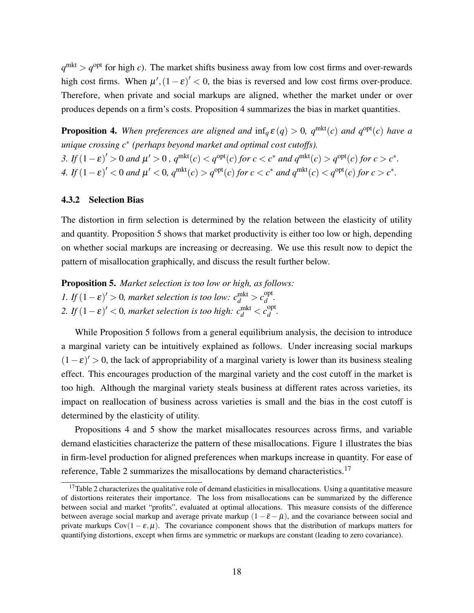$q^{\text{mkt}} > q^{\text{opt}}$  for high *c*). The market shifts business away from low cost firms and over-rewards high cost firms. When  $\mu'$ ,  $(1 - \varepsilon)' < 0$ , the bias is reversed and low cost firms over-produce. Therefore, when private and social markups are aligned, whether the market under or over produces depends on a firm's costs. Proposition [4](#page-17-0) summarizes the bias in market quantities.

<span id="page-17-0"></span>**Proposition 4.** When preferences are aligned and  $\inf_a \varepsilon(q) > 0$ ,  $q^{\text{mkt}}(c)$  and  $q^{\text{opt}}(c)$  have a *unique crossing c*<sup>∗</sup> *(perhaps beyond market and optimal cost cutoffs). 3.* If  $(1 - \varepsilon)' > 0$  and  $\mu' > 0$ ,  $q^{\text{mkt}}(c) < q^{\text{opt}}(c)$  for  $c < c^*$  and  $q^{\text{mkt}}(c) > q^{\text{opt}}(c)$  for  $c > c^*$ . *4.* If  $(1 - \varepsilon)' < 0$  and  $\mu' < 0$ ,  $q^{\text{mkt}}(c) > q^{\text{opt}}(c)$  for  $c < c^*$  and  $q^{\text{mkt}}(c) < q^{\text{opt}}(c)$  for  $c > c^*$ .

#### 4.3.2 Selection Bias

The distortion in firm selection is determined by the relation between the elasticity of utility and quantity. Proposition [5](#page-17-1) shows that market productivity is either too low or high, depending on whether social markups are increasing or decreasing. We use this result now to depict the pattern of misallocation graphically, and discuss the result further below.

<span id="page-17-1"></span>Proposition 5. *Market selection is too low or high, as follows: 1.* If  $(1 - \varepsilon)' > 0$ , market selection is too low:  $c_d^{\text{mkt}} > c_d^{\text{opt}}$ *d .* 2. If  $(1 - \varepsilon)' < 0$ , market selection is too high:  $c_d^{\text{mkt}} < c_d^{\text{opt}}$ *d .*

While Proposition [5](#page-17-1) follows from a general equilibrium analysis, the decision to introduce a marginal variety can be intuitively explained as follows. Under increasing social markups  $(1 - \varepsilon)' > 0$ , the lack of appropriability of a marginal variety is lower than its business stealing effect. This encourages production of the marginal variety and the cost cutoff in the market is too high. Although the marginal variety steals business at different rates across varieties, its impact on reallocation of business across varieties is small and the bias in the cost cutoff is determined by the elasticity of utility.

Propositions [4](#page-17-0) and [5](#page-17-1) show the market misallocates resources across firms, and variable demand elasticities characterize the pattern of these misallocations. Figure [1](#page-18-0) illustrates the bias in firm-level production for aligned preferences when markups increase in quantity. For ease of reference, Table [2](#page-18-1) summarizes the misallocations by demand characteristics.<sup>[17](#page-0-0)</sup>

 $17$ Table [2](#page-18-1) characterizes the qualitative role of demand elasticities in misallocations. Using a quantitative measure of distortions reiterates their importance. The loss from misallocations can be summarized by the difference between social and market "profits", evaluated at optimal allocations. This measure consists of the difference between average social markup and average private markup  $(1 - \bar{\varepsilon} - \bar{\mu})$ , and the covariance between social and private markups  $Cov(1 - \varepsilon, \mu)$ . The covariance component shows that the distribution of markups matters for quantifying distortions, except when firms are symmetric or markups are constant (leading to zero covariance).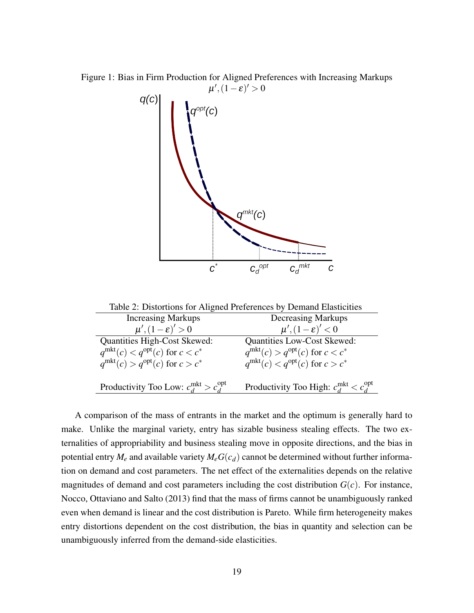Figure 1: Bias in Firm Production for Aligned Preferences with Increasing Markups

<span id="page-18-0"></span>

<span id="page-18-1"></span>

| Table 2: Distortions for Aligned Preferences by Demand Elasticities |                                                                                      |
|---------------------------------------------------------------------|--------------------------------------------------------------------------------------|
| <b>Increasing Markups</b>                                           | <b>Decreasing Markups</b>                                                            |
| $\mu'(1-\varepsilon)' > 0$                                          | $\mu', (1-\varepsilon)' < 0$                                                         |
| <b>Quantities High-Cost Skewed:</b>                                 | <b>Quantities Low-Cost Skewed:</b>                                                   |
| $q^{\text{mkt}}(c) < q^{\text{opt}}(c)$ for $c < c^*$               | $q^{\text{mkt}}(c) > q^{\text{opt}}(c)$ for $c < c^*$                                |
| $q^{\text{mkt}}(c) > q^{\text{opt}}(c)$ for $c > c^*$               | $q^{\text{mkt}}(c) < q^{\text{opt}}(c)$ for $c > c^*$                                |
| Productivity Too Low: $c_d^{\text{mkt}} > c_d^{\text{opt}}$         | Productivity Too High: $c_{\mathcal{A}}^{\text{mkt}} < c_{\mathcal{A}}^{\text{opt}}$ |

A comparison of the mass of entrants in the market and the optimum is generally hard to make. Unlike the marginal variety, entry has sizable business stealing effects. The two externalities of appropriability and business stealing move in opposite directions, and the bias in potential entry  $M_e$  and available variety  $M_eG(c_d)$  cannot be determined without further information on demand and cost parameters. The net effect of the externalities depends on the relative magnitudes of demand and cost parameters including the cost distribution  $G(c)$ . For instance, [Nocco, Ottaviano and Salto](#page-27-13) [\(2013\)](#page-27-13) find that the mass of firms cannot be unambiguously ranked even when demand is linear and the cost distribution is Pareto. While firm heterogeneity makes entry distortions dependent on the cost distribution, the bias in quantity and selection can be unambiguously inferred from the demand-side elasticities.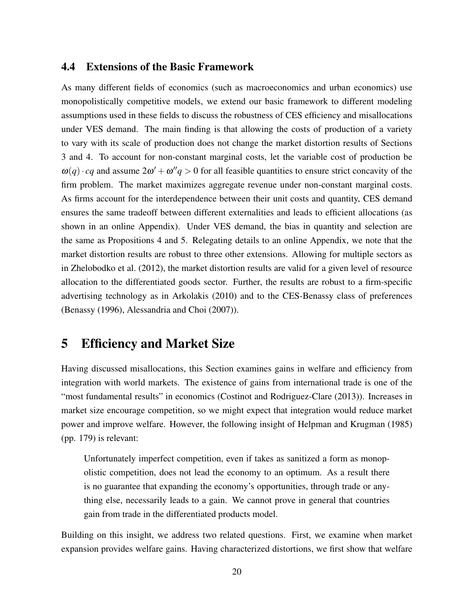### 4.4 Extensions of the Basic Framework

As many different fields of economics (such as macroeconomics and urban economics) use monopolistically competitive models, we extend our basic framework to different modeling assumptions used in these fields to discuss the robustness of CES efficiency and misallocations under VES demand. The main finding is that allowing the costs of production of a variety to vary with its scale of production does not change the market distortion results of Sections 3 and 4. To account for non-constant marginal costs, let the variable cost of production be  $\omega(q) \cdot cq$  and assume  $2\omega' + \omega''q > 0$  for all feasible quantities to ensure strict concavity of the firm problem. The market maximizes aggregate revenue under non-constant marginal costs. As firms account for the interdependence between their unit costs and quantity, CES demand ensures the same tradeoff between different externalities and leads to efficient allocations (as shown in an online Appendix). Under VES demand, the bias in quantity and selection are the same as Propositions [4](#page-17-0) and [5.](#page-17-1) Relegating details to an online Appendix, we note that the market distortion results are robust to three other extensions. Allowing for multiple sectors as in [Zhelobodko et al.](#page-28-7) [\(2012\)](#page-28-7), the market distortion results are valid for a given level of resource allocation to the differentiated goods sector. Further, the results are robust to a firm-specific advertising technology as in [Arkolakis](#page-24-3) [\(2010\)](#page-24-3) and to the CES-Benassy class of preferences [\(Benassy](#page-25-12) [\(1996\)](#page-25-12), [Alessandria and Choi](#page-24-4) [\(2007\)](#page-24-4)).

# 5 Efficiency and Market Size

Having discussed misallocations, this Section examines gains in welfare and efficiency from integration with world markets. The existence of gains from international trade is one of the "most fundamental results" in economics [\(Costinot and Rodriguez-Clare](#page-25-13) [\(2013\)](#page-25-13)). Increases in market size encourage competition, so we might expect that integration would reduce market power and improve welfare. However, the following insight of [Helpman and Krugman](#page-26-0) [\(1985\)](#page-26-0) (pp. 179) is relevant:

Unfortunately imperfect competition, even if takes as sanitized a form as monopolistic competition, does not lead the economy to an optimum. As a result there is no guarantee that expanding the economy's opportunities, through trade or anything else, necessarily leads to a gain. We cannot prove in general that countries gain from trade in the differentiated products model.

Building on this insight, we address two related questions. First, we examine when market expansion provides welfare gains. Having characterized distortions, we first show that welfare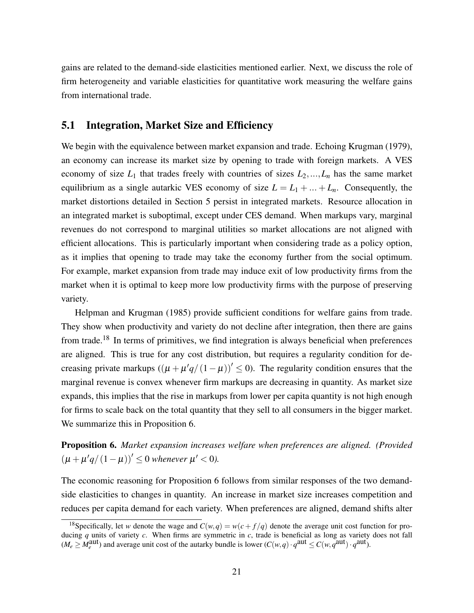gains are related to the demand-side elasticities mentioned earlier. Next, we discuss the role of firm heterogeneity and variable elasticities for quantitative work measuring the welfare gains from international trade.

# 5.1 Integration, Market Size and Efficiency

We begin with the equivalence between market expansion and trade. Echoing [Krugman](#page-26-3) [\(1979\)](#page-26-3), an economy can increase its market size by opening to trade with foreign markets. A VES economy of size  $L_1$  that trades freely with countries of sizes  $L_2, \ldots, L_n$  has the same market equilibrium as a single autarkic VES economy of size  $L = L_1 + ... + L_n$ . Consequently, the market distortions detailed in Section 5 persist in integrated markets. Resource allocation in an integrated market is suboptimal, except under CES demand. When markups vary, marginal revenues do not correspond to marginal utilities so market allocations are not aligned with efficient allocations. This is particularly important when considering trade as a policy option, as it implies that opening to trade may take the economy further from the social optimum. For example, market expansion from trade may induce exit of low productivity firms from the market when it is optimal to keep more low productivity firms with the purpose of preserving variety.

[Helpman and Krugman](#page-26-0) [\(1985\)](#page-26-0) provide sufficient conditions for welfare gains from trade. They show when productivity and variety do not decline after integration, then there are gains from trade.<sup>[18](#page-0-0)</sup> In terms of primitives, we find integration is always beneficial when preferences are aligned. This is true for any cost distribution, but requires a regularity condition for decreasing private markups  $((\mu + \mu'q/(1-\mu))' \le 0)$ . The regularity condition ensures that the marginal revenue is convex whenever firm markups are decreasing in quantity. As market size expands, this implies that the rise in markups from lower per capita quantity is not high enough for firms to scale back on the total quantity that they sell to all consumers in the bigger market. We summarize this in Proposition [6.](#page-20-0)

<span id="page-20-0"></span>Proposition 6. *Market expansion increases welfare when preferences are aligned. (Provided*  $(\mu + \mu'q/(1-\mu))' \leq 0$  whenever  $\mu' < 0$ ).

The economic reasoning for Proposition [6](#page-20-0) follows from similar responses of the two demandside elasticities to changes in quantity. An increase in market size increases competition and reduces per capita demand for each variety. When preferences are aligned, demand shifts alter

<sup>&</sup>lt;sup>18</sup>Specifically, let *w* denote the wage and  $C(w,q) = w(c + f/q)$  denote the average unit cost function for producing *q* units of variety *c*. When firms are symmetric in *c*, trade is beneficial as long as variety does not fall  $(M_e \geq M_e^{\text{aut}})$  and average unit cost of the autarky bundle is lower  $(C(w,q) \cdot q^{\text{aut}} \leq C(w, q^{\text{aut}}) \cdot q^{\text{aut}})$ .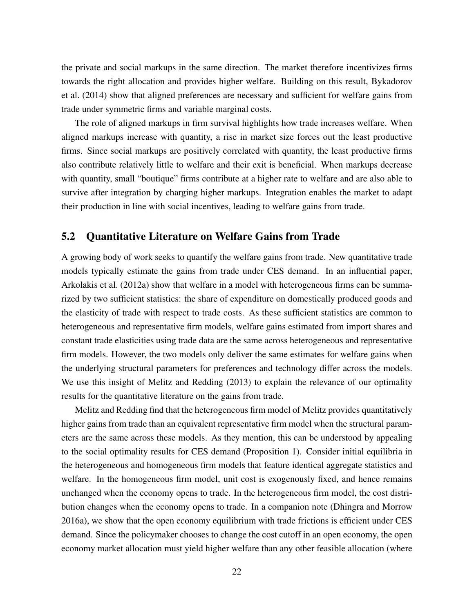the private and social markups in the same direction. The market therefore incentivizes firms towards the right allocation and provides higher welfare. Building on this result, [Bykadorov](#page-25-14) [et al.](#page-25-14) [\(2014\)](#page-25-14) show that aligned preferences are necessary and sufficient for welfare gains from trade under symmetric firms and variable marginal costs.

The role of aligned markups in firm survival highlights how trade increases welfare. When aligned markups increase with quantity, a rise in market size forces out the least productive firms. Since social markups are positively correlated with quantity, the least productive firms also contribute relatively little to welfare and their exit is beneficial. When markups decrease with quantity, small "boutique" firms contribute at a higher rate to welfare and are also able to survive after integration by charging higher markups. Integration enables the market to adapt their production in line with social incentives, leading to welfare gains from trade.

# 5.2 Quantitative Literature on Welfare Gains from Trade

A growing body of work seeks to quantify the welfare gains from trade. New quantitative trade models typically estimate the gains from trade under CES demand. In an influential paper, [Arkolakis et al.](#page-24-1) [\(2012a\)](#page-24-1) show that welfare in a model with heterogeneous firms can be summarized by two sufficient statistics: the share of expenditure on domestically produced goods and the elasticity of trade with respect to trade costs. As these sufficient statistics are common to heterogeneous and representative firm models, welfare gains estimated from import shares and constant trade elasticities using trade data are the same across heterogeneous and representative firm models. However, the two models only deliver the same estimates for welfare gains when the underlying structural parameters for preferences and technology differ across the models. We use this insight of [Melitz and Redding](#page-27-7) [\(2013\)](#page-27-7) to explain the relevance of our optimality results for the quantitative literature on the gains from trade.

Melitz and Redding find that the heterogeneous firm model of Melitz provides quantitatively higher gains from trade than an equivalent representative firm model when the structural parameters are the same across these models. As they mention, this can be understood by appealing to the social optimality results for CES demand (Proposition [1\)](#page-10-0). Consider initial equilibria in the heterogeneous and homogeneous firm models that feature identical aggregate statistics and welfare. In the homogeneous firm model, unit cost is exogenously fixed, and hence remains unchanged when the economy opens to trade. In the heterogeneous firm model, the cost distribution changes when the economy opens to trade. In a companion note [\(Dhingra and Morrow](#page-25-15) [2016a\)](#page-25-15), we show that the open economy equilibrium with trade frictions is efficient under CES demand. Since the policymaker chooses to change the cost cutoff in an open economy, the open economy market allocation must yield higher welfare than any other feasible allocation (where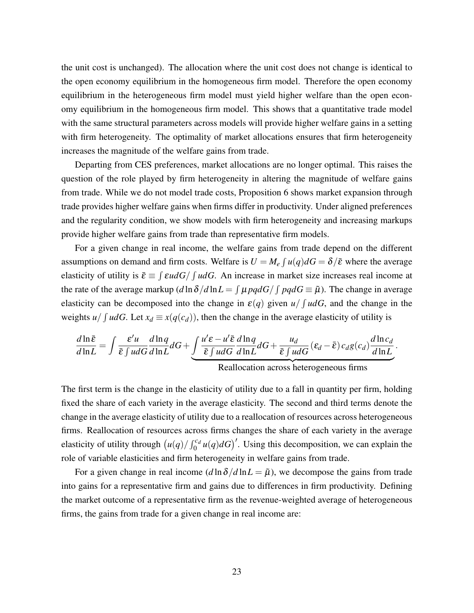the unit cost is unchanged). The allocation where the unit cost does not change is identical to the open economy equilibrium in the homogeneous firm model. Therefore the open economy equilibrium in the heterogeneous firm model must yield higher welfare than the open economy equilibrium in the homogeneous firm model. This shows that a quantitative trade model with the same structural parameters across models will provide higher welfare gains in a setting with firm heterogeneity. The optimality of market allocations ensures that firm heterogeneity increases the magnitude of the welfare gains from trade.

Departing from CES preferences, market allocations are no longer optimal. This raises the question of the role played by firm heterogeneity in altering the magnitude of welfare gains from trade. While we do not model trade costs, Proposition [6](#page-20-0) shows market expansion through trade provides higher welfare gains when firms differ in productivity. Under aligned preferences and the regularity condition, we show models with firm heterogeneity and increasing markups provide higher welfare gains from trade than representative firm models.

For a given change in real income, the welfare gains from trade depend on the different assumptions on demand and firm costs. Welfare is  $U = M_e \int u(q) dG = \delta/\bar{\varepsilon}$  where the average elasticity of utility is  $\bar{\varepsilon} \equiv \int \varepsilon u dG / \int u dG$ . An increase in market size increases real income at the rate of the average markup  $(d \ln \delta / d \ln L = \int \mu \rho q dG / \int \rho q dG \equiv \tilde{\mu}$ ). The change in average elasticity can be decomposed into the change in  $\varepsilon(q)$  given  $u/fudG$ , and the change in the weights  $u / \int u dG$ . Let  $x_d \equiv x(q(c_d))$ , then the change in the average elasticity of utility is

$$
\frac{d\ln\bar{\varepsilon}}{d\ln L} = \int \frac{\varepsilon' u}{\bar{\varepsilon} \int u dG} \frac{d\ln q}{d\ln L} dG + \underbrace{\int \frac{u' \varepsilon - u' \bar{\varepsilon} \, d\ln q}{\bar{\varepsilon} \int u dG} dG}_{\text{Reallocation across heterogeneous firms}} + \underbrace{u_d}_{\text{R} \text{expeneous firms}}.
$$

The first term is the change in the elasticity of utility due to a fall in quantity per firm, holding fixed the share of each variety in the average elasticity. The second and third terms denote the change in the average elasticity of utility due to a reallocation of resources across heterogeneous firms. Reallocation of resources across firms changes the share of each variety in the average elasticity of utility through  $(u(q)/\int_0^{c_d} u(q)dG)$ <sup>'</sup>. Using this decomposition, we can explain the role of variable elasticities and firm heterogeneity in welfare gains from trade.

For a given change in real income  $(d \ln \delta / d \ln L = \tilde{\mu})$ , we decompose the gains from trade into gains for a representative firm and gains due to differences in firm productivity. Defining the market outcome of a representative firm as the revenue-weighted average of heterogeneous firms, the gains from trade for a given change in real income are: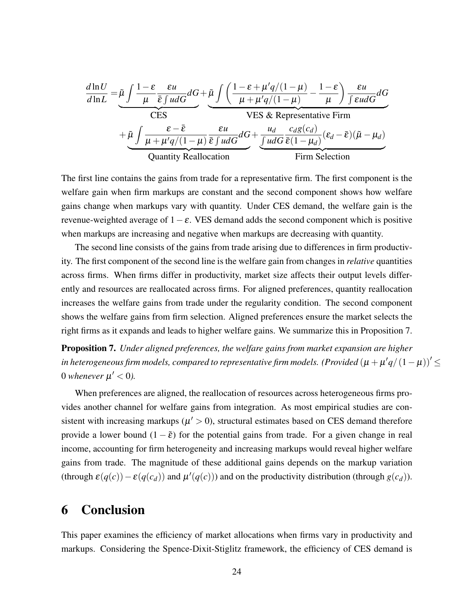$$
\frac{d\ln U}{d\ln L} = \underbrace{\tilde{\mu} \int \frac{1-\varepsilon}{\mu} \frac{\varepsilon u}{\tilde{\varepsilon} \int udG} dG}_{\text{CES}} + \underbrace{\tilde{\mu} \int \left( \frac{1-\varepsilon + \mu'q/(1-\mu)}{\mu + \mu'q/(1-\mu)} - \frac{1-\varepsilon}{\mu} \right) \frac{\varepsilon u}{\int \varepsilon udG} dG}_{\text{VES}}}{\text{VES} \& \text{ Representative Firm}
$$
\n
$$
+ \underbrace{\tilde{\mu} \int \frac{\varepsilon - \bar{\varepsilon}}{\mu + \mu'q/(1-\mu)} \frac{\varepsilon u}{\bar{\varepsilon} \int udG} dG}_{\text{Quantity Reallocation}} + \underbrace{\frac{u_d}{\int udG} \frac{c_d g(c_d)}{\bar{\varepsilon} (1-\mu_d)} (\varepsilon_d - \bar{\varepsilon}) (\tilde{\mu} - \mu_d)}_{\text{Firm Selection}}
$$

The first line contains the gains from trade for a representative firm. The first component is the welfare gain when firm markups are constant and the second component shows how welfare gains change when markups vary with quantity. Under CES demand, the welfare gain is the revenue-weighted average of  $1-\varepsilon$ . VES demand adds the second component which is positive when markups are increasing and negative when markups are decreasing with quantity.

The second line consists of the gains from trade arising due to differences in firm productivity. The first component of the second line is the welfare gain from changes in *relative* quantities across firms. When firms differ in productivity, market size affects their output levels differently and resources are reallocated across firms. For aligned preferences, quantity reallocation increases the welfare gains from trade under the regularity condition. The second component shows the welfare gains from firm selection. Aligned preferences ensure the market selects the right firms as it expands and leads to higher welfare gains. We summarize this in Proposition [7.](#page-23-0)

<span id="page-23-0"></span>Proposition 7. *Under aligned preferences, the welfare gains from market expansion are higher* in heterogeneous firm models, compared to representative firm models. (Provided  $\left(\mu+\mu'q/\left(1-\mu\right)\right)'\leq$ 0 whenever  $\mu' < 0$ ).

When preferences are aligned, the reallocation of resources across heterogeneous firms provides another channel for welfare gains from integration. As most empirical studies are consistent with increasing markups ( $\mu' > 0$ ), structural estimates based on CES demand therefore provide a lower bound  $(1 - \tilde{\epsilon})$  for the potential gains from trade. For a given change in real income, accounting for firm heterogeneity and increasing markups would reveal higher welfare gains from trade. The magnitude of these additional gains depends on the markup variation (through  $\varepsilon(q(c)) - \varepsilon(q(c_d))$  and  $\mu'(q(c))$ ) and on the productivity distribution (through  $g(c_d)$ ).

# 6 Conclusion

This paper examines the efficiency of market allocations when firms vary in productivity and markups. Considering the Spence-Dixit-Stiglitz framework, the efficiency of CES demand is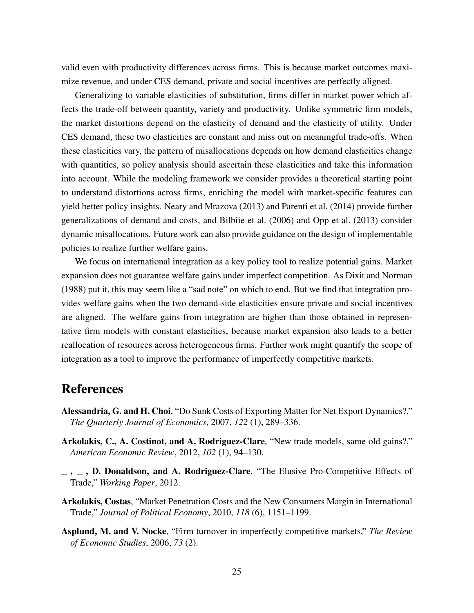valid even with productivity differences across firms. This is because market outcomes maximize revenue, and under CES demand, private and social incentives are perfectly aligned.

Generalizing to variable elasticities of substitution, firms differ in market power which affects the trade-off between quantity, variety and productivity. Unlike symmetric firm models, the market distortions depend on the elasticity of demand and the elasticity of utility. Under CES demand, these two elasticities are constant and miss out on meaningful trade-offs. When these elasticities vary, the pattern of misallocations depends on how demand elasticities change with quantities, so policy analysis should ascertain these elasticities and take this information into account. While the modeling framework we consider provides a theoretical starting point to understand distortions across firms, enriching the model with market-specific features can yield better policy insights. [Neary and Mrazova](#page-27-14) [\(2013\)](#page-27-14) and [Parenti et al.](#page-27-5) [\(2014\)](#page-27-5) provide further generalizations of demand and costs, and [Bilbiie et al.](#page-25-6) [\(2006\)](#page-25-6) and [Opp et al.](#page-27-15) [\(2013\)](#page-27-15) consider dynamic misallocations. Future work can also provide guidance on the design of implementable policies to realize further welfare gains.

We focus on international integration as a key policy tool to realize potential gains. Market expansion does not guarantee welfare gains under imperfect competition. As [Dixit and Norman](#page-26-5) [\(1988\)](#page-26-5) put it, this may seem like a "sad note" on which to end. But we find that integration provides welfare gains when the two demand-side elasticities ensure private and social incentives are aligned. The welfare gains from integration are higher than those obtained in representative firm models with constant elasticities, because market expansion also leads to a better reallocation of resources across heterogeneous firms. Further work might quantify the scope of integration as a tool to improve the performance of imperfectly competitive markets.

# References

- <span id="page-24-4"></span>Alessandria, G. and H. Choi, "Do Sunk Costs of Exporting Matter for Net Export Dynamics?," *The Quarterly Journal of Economics*, 2007, *122* (1), 289–336.
- <span id="page-24-1"></span>Arkolakis, C., A. Costinot, and A. Rodriguez-Clare, "New trade models, same old gains?," *American Economic Review*, 2012, *102* (1), 94–130.
- <span id="page-24-2"></span> $\ldots$ , D. Donaldson, and A. Rodriguez-Clare, "The Elusive Pro-Competitive Effects of Trade," *Working Paper*, 2012.
- <span id="page-24-3"></span>Arkolakis, Costas, "Market Penetration Costs and the New Consumers Margin in International Trade," *Journal of Political Economy*, 2010, *118* (6), 1151–1199.
- <span id="page-24-0"></span>Asplund, M. and V. Nocke, "Firm turnover in imperfectly competitive markets," *The Review of Economic Studies*, 2006, *73* (2).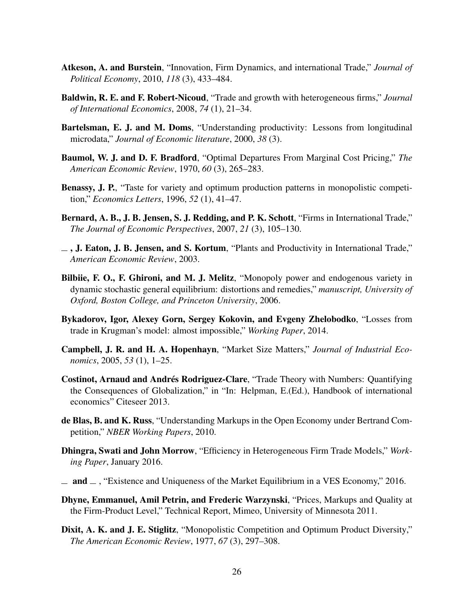- <span id="page-25-8"></span>Atkeson, A. and Burstein, "Innovation, Firm Dynamics, and international Trade," *Journal of Political Economy*, 2010, *118* (3), 433–484.
- <span id="page-25-7"></span>Baldwin, R. E. and F. Robert-Nicoud, "Trade and growth with heterogeneous firms," *Journal of International Economics*, 2008, *74* (1), 21–34.
- <span id="page-25-0"></span>Bartelsman, E. J. and M. Doms, "Understanding productivity: Lessons from longitudinal microdata," *Journal of Economic literature*, 2000, *38* (3).
- <span id="page-25-10"></span>Baumol, W. J. and D. F. Bradford, "Optimal Departures From Marginal Cost Pricing," *The American Economic Review*, 1970, *60* (3), 265–283.
- <span id="page-25-12"></span>Benassy, J. P., "Taste for variety and optimum production patterns in monopolistic competition," *Economics Letters*, 1996, *52* (1), 41–47.
- <span id="page-25-1"></span>Bernard, A. B., J. B. Jensen, S. J. Redding, and P. K. Schott, "Firms in International Trade," *The Journal of Economic Perspectives*, 2007, *21* (3), 105–130.
- <span id="page-25-4"></span> $\overline{\phantom{a}}$ , J. Eaton, J. B. Jensen, and S. Kortum, "Plants and Productivity in International Trade," *American Economic Review*, 2003.
- <span id="page-25-6"></span>Bilbiie, F. O., F. Ghironi, and M. J. Melitz, "Monopoly power and endogenous variety in dynamic stochastic general equilibrium: distortions and remedies," *manuscript, University of Oxford, Boston College, and Princeton University*, 2006.
- <span id="page-25-14"></span>Bykadorov, Igor, Alexey Gorn, Sergey Kokovin, and Evgeny Zhelobodko, "Losses from trade in Krugman's model: almost impossible," *Working Paper*, 2014.
- <span id="page-25-3"></span>Campbell, J. R. and H. A. Hopenhayn, "Market Size Matters," *Journal of Industrial Economics*, 2005, *53* (1), 1–25.
- <span id="page-25-13"></span>Costinot, Arnaud and Andrés Rodriguez-Clare, "Trade Theory with Numbers: Quantifying the Consequences of Globalization," in "In: Helpman, E.(Ed.), Handbook of international economics" Citeseer 2013.
- <span id="page-25-5"></span>de Blas, B. and K. Russ, "Understanding Markups in the Open Economy under Bertrand Competition," *NBER Working Papers*, 2010.
- <span id="page-25-15"></span>Dhingra, Swati and John Morrow, "Efficiency in Heterogeneous Firm Trade Models," *Working Paper*, January 2016.
- <span id="page-25-9"></span> $\equiv$  and  $\equiv$ , "Existence and Uniqueness of the Market Equilibrium in a VES Economy," 2016.
- <span id="page-25-11"></span>Dhyne, Emmanuel, Amil Petrin, and Frederic Warzynski, "Prices, Markups and Quality at the Firm-Product Level," Technical Report, Mimeo, University of Minnesota 2011.
- <span id="page-25-2"></span>Dixit, A. K. and J. E. Stiglitz, "Monopolistic Competition and Optimum Product Diversity," *The American Economic Review*, 1977, *67* (3), 297–308.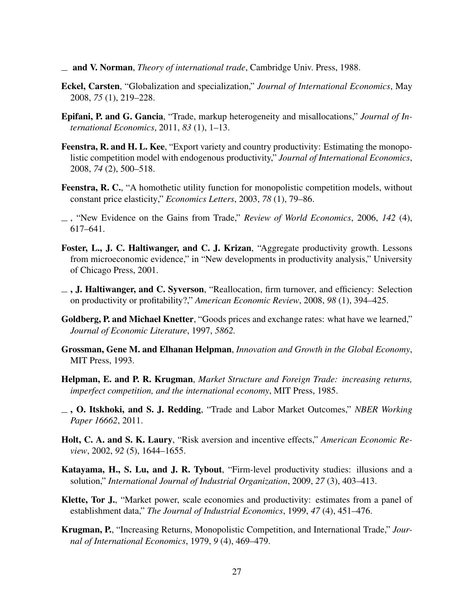- <span id="page-26-5"></span>and V. Norman, *Theory of international trade*, Cambridge Univ. Press, 1988.
- <span id="page-26-9"></span>Eckel, Carsten, "Globalization and specialization," *Journal of International Economics*, May 2008, *75* (1), 219–228.
- <span id="page-26-8"></span>Epifani, P. and G. Gancia, "Trade, markup heterogeneity and misallocations," *Journal of International Economics*, 2011, *83* (1), 1–13.
- <span id="page-26-10"></span>Feenstra, R. and H. L. Kee, "Export variety and country productivity: Estimating the monopolistic competition model with endogenous productivity," *Journal of International Economics*, 2008, *74* (2), 500–518.
- <span id="page-26-7"></span>Feenstra, R. C., "A homothetic utility function for monopolistic competition models, without constant price elasticity," *Economics Letters*, 2003, *78* (1), 79–86.
- <span id="page-26-1"></span>, "New Evidence on the Gains from Trade," *Review of World Economics*, 2006, *142* (4), 617–641.
- <span id="page-26-2"></span>Foster, L., J. C. Haltiwanger, and C. J. Krizan, "Aggregate productivity growth. Lessons from microeconomic evidence," in "New developments in productivity analysis," University of Chicago Press, 2001.
- <span id="page-26-4"></span> $\overline{\phantom{a}}$ , J. Haltiwanger, and C. Syverson, "Reallocation, firm turnover, and efficiency: Selection on productivity or profitability?," *American Economic Review*, 2008, *98* (1), 394–425.
- <span id="page-26-13"></span>Goldberg, P. and Michael Knetter, "Goods prices and exchange rates: what have we learned," *Journal of Economic Literature*, 1997, *5862.*
- <span id="page-26-12"></span>Grossman, Gene M. and Elhanan Helpman, *Innovation and Growth in the Global Economy*, MIT Press, 1993.
- <span id="page-26-0"></span>Helpman, E. and P. R. Krugman, *Market Structure and Foreign Trade: increasing returns, imperfect competition, and the international economy*, MIT Press, 1985.
- <span id="page-26-11"></span>, O. Itskhoki, and S. J. Redding, "Trade and Labor Market Outcomes," *NBER Working Paper 16662*, 2011.
- <span id="page-26-15"></span>Holt, C. A. and S. K. Laury, "Risk aversion and incentive effects," *American Economic Review*, 2002, *92* (5), 1644–1655.
- <span id="page-26-6"></span>Katayama, H., S. Lu, and J. R. Tybout, "Firm-level productivity studies: illusions and a solution," *International Journal of Industrial Organization*, 2009, *27* (3), 403–413.
- <span id="page-26-14"></span>Klette, Tor J., "Market power, scale economies and productivity: estimates from a panel of establishment data," *The Journal of Industrial Economics*, 1999, *47* (4), 451–476.
- <span id="page-26-3"></span>Krugman, P., "Increasing Returns, Monopolistic Competition, and International Trade," *Journal of International Economics*, 1979, *9* (4), 469–479.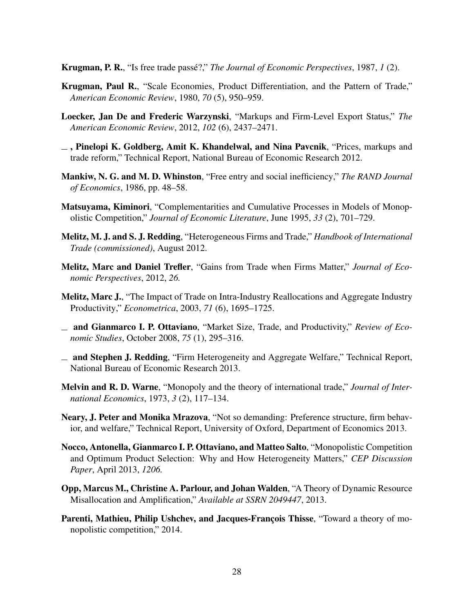<span id="page-27-0"></span>Krugman, P. R., "Is free trade passé?," *The Journal of Economic Perspectives*, 1987, *1* (2).

- <span id="page-27-10"></span>Krugman, Paul R., "Scale Economies, Product Differentiation, and the Pattern of Trade," *American Economic Review*, 1980, *70* (5), 950–959.
- <span id="page-27-12"></span>Loecker, Jan De and Frederic Warzynski, "Markups and Firm-Level Export Status," *The American Economic Review*, 2012, *102* (6), 2437–2471.
- <span id="page-27-11"></span> $\overline{\phantom{a}}$ , Pinelopi K. Goldberg, Amit K. Khandelwal, and Nina Pavcnik, "Prices, markups and trade reform," Technical Report, National Bureau of Economic Research 2012.
- <span id="page-27-2"></span>Mankiw, N. G. and M. D. Whinston, "Free entry and social inefficiency," *The RAND Journal of Economics*, 1986, pp. 48–58.
- <span id="page-27-9"></span>Matsuyama, Kiminori, "Complementarities and Cumulative Processes in Models of Monopolistic Competition," *Journal of Economic Literature*, June 1995, *33* (2), 701–729.
- <span id="page-27-1"></span>Melitz, M. J. and S. J. Redding, "Heterogeneous Firms and Trade," *Handbook of International Trade (commissioned)*, August 2012.
- <span id="page-27-4"></span>Melitz, Marc and Daniel Trefler, "Gains from Trade when Firms Matter," *Journal of Economic Perspectives*, 2012, *26.*
- <span id="page-27-3"></span>Melitz, Marc J., "The Impact of Trade on Intra-Industry Reallocations and Aggregate Industry Productivity," *Econometrica*, 2003, *71* (6), 1695–1725.
- <span id="page-27-8"></span>and Gianmarco I. P. Ottaviano, "Market Size, Trade, and Productivity," *Review of Economic Studies*, October 2008, *75* (1), 295–316.
- <span id="page-27-7"></span>and Stephen J. Redding, "Firm Heterogeneity and Aggregate Welfare," Technical Report, National Bureau of Economic Research 2013.
- <span id="page-27-6"></span>Melvin and R. D. Warne, "Monopoly and the theory of international trade," *Journal of International Economics*, 1973, *3* (2), 117–134.
- <span id="page-27-14"></span>Neary, J. Peter and Monika Mrazova, "Not so demanding: Preference structure, firm behavior, and welfare," Technical Report, University of Oxford, Department of Economics 2013.
- <span id="page-27-13"></span>Nocco, Antonella, Gianmarco I. P. Ottaviano, and Matteo Salto, "Monopolistic Competition and Optimum Product Selection: Why and How Heterogeneity Matters," *CEP Discussion Paper*, April 2013, *1206.*
- <span id="page-27-15"></span>Opp, Marcus M., Christine A. Parlour, and Johan Walden, "A Theory of Dynamic Resource Misallocation and Amplification," *Available at SSRN 2049447*, 2013.
- <span id="page-27-5"></span>Parenti, Mathieu, Philip Ushchev, and Jacques-François Thisse, "Toward a theory of monopolistic competition," 2014.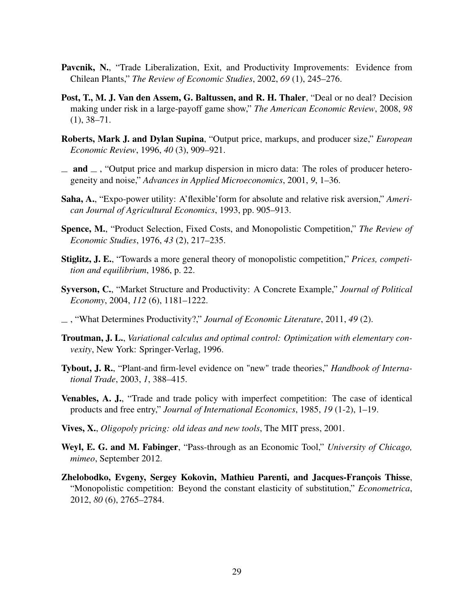- <span id="page-28-2"></span>Pavcnik, N., "Trade Liberalization, Exit, and Productivity Improvements: Evidence from Chilean Plants," *The Review of Economic Studies*, 2002, *69* (1), 245–276.
- <span id="page-28-13"></span>Post, T., M. J. Van den Assem, G. Baltussen, and R. H. Thaler, "Deal or no deal? Decision making under risk in a large-payoff game show," *The American Economic Review*, 2008, *98* (1), 38–71.
- <span id="page-28-10"></span>Roberts, Mark J. and Dylan Supina, "Output price, markups, and producer size," *European Economic Review*, 1996, *40* (3), 909–921.
- <span id="page-28-11"></span> $\Box$  and  $\Box$ , "Output price and markup dispersion in micro data: The roles of producer heterogeneity and noise," *Advances in Applied Microeconomics*, 2001, *9*, 1–36.
- <span id="page-28-12"></span>Saha, A., "Expo-power utility: A'flexible'form for absolute and relative risk aversion," *American Journal of Agricultural Economics*, 1993, pp. 905–913.
- <span id="page-28-3"></span>Spence, M., "Product Selection, Fixed Costs, and Monopolistic Competition," *The Review of Economic Studies*, 1976, *43* (2), 217–235.
- <span id="page-28-5"></span>Stiglitz, J. E., "Towards a more general theory of monopolistic competition," *Prices, competition and equilibrium*, 1986, p. 22.
- <span id="page-28-8"></span>Syverson, C., "Market Structure and Productivity: A Concrete Example," *Journal of Political Economy*, 2004, *112* (6), 1181–1222.
- <span id="page-28-0"></span>, "What Determines Productivity?," *Journal of Economic Literature*, 2011, *49* (2).
- <span id="page-28-14"></span>Troutman, J. L., *Variational calculus and optimal control: Optimization with elementary convexity*, New York: Springer-Verlag, 1996.
- <span id="page-28-1"></span>Tybout, J. R., "Plant-and firm-level evidence on "new" trade theories," *Handbook of International Trade*, 2003, *1*, 388–415.
- <span id="page-28-4"></span>Venables, A. J., "Trade and trade policy with imperfect competition: The case of identical products and free entry," *Journal of International Economics*, 1985, *19* (1-2), 1–19.
- <span id="page-28-6"></span>Vives, X., *Oligopoly pricing: old ideas and new tools*, The MIT press, 2001.
- <span id="page-28-9"></span>Weyl, E. G. and M. Fabinger, "Pass-through as an Economic Tool," *University of Chicago, mimeo*, September 2012.
- <span id="page-28-7"></span>Zhelobodko, Evgeny, Sergey Kokovin, Mathieu Parenti, and Jacques-François Thisse, "Monopolistic competition: Beyond the constant elasticity of substitution," *Econometrica*, 2012, *80* (6), 2765–2784.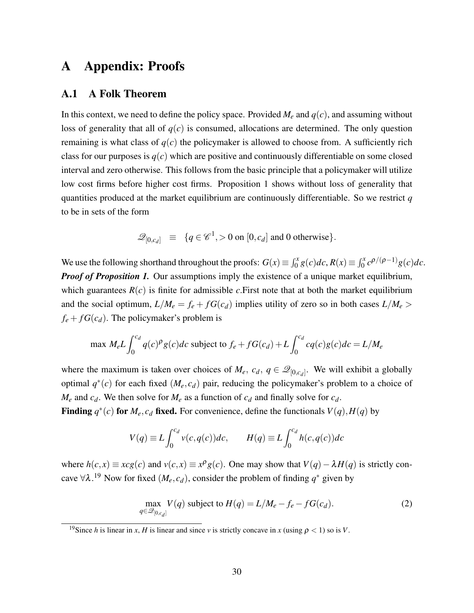# A Appendix: Proofs

### A.1 A Folk Theorem

In this context, we need to define the policy space. Provided  $M_e$  and  $q(c)$ , and assuming without loss of generality that all of  $q(c)$  is consumed, allocations are determined. The only question remaining is what class of  $q(c)$  the policymaker is allowed to choose from. A sufficiently rich class for our purposes is  $q(c)$  which are positive and continuously differentiable on some closed interval and zero otherwise. This follows from the basic principle that a policymaker will utilize low cost firms before higher cost firms. Proposition 1 shows without loss of generality that quantities produced at the market equilibrium are continuously differentiable. So we restrict *q* to be in sets of the form

$$
\mathscr{Q}_{[0,c_d]} \equiv \{q \in \mathscr{C}^1, >0 \text{ on } [0,c_d] \text{ and } 0 \text{ otherwise} \}.
$$

We use the following shorthand throughout the proofs:  $G(x) \equiv \int_0^x g(c)dc$ ,  $R(x) \equiv \int_0^x c^{\rho/(\rho-1)}g(c)dc$ . *Proof of Proposition [1.](#page-10-0)* Our assumptions imply the existence of a unique market equilibrium, which guarantees  $R(c)$  is finite for admissible *c*. First note that at both the market equilibrium and the social optimum,  $L/M_e = f_e + f G(c_d)$  implies utility of zero so in both cases  $L/M_e >$  $f_e + fG(c_d)$ . The policymaker's problem is

max 
$$
M_e L \int_0^{c_d} q(c) \rho g(c) dc
$$
 subject to  $f_e + fG(c_d) + L \int_0^{c_d} cq(c)g(c)dc = L/M_e$ 

where the maximum is taken over choices of  $M_e$ ,  $c_d$ ,  $q \in \mathcal{Q}_{[0,c_d]}$ . We will exhibit a globally optimal  $q^*(c)$  for each fixed  $(M_e, c_d)$  pair, reducing the policymaker's problem to a choice of  $M_e$  and  $c_d$ . We then solve for  $M_e$  as a function of  $c_d$  and finally solve for  $c_d$ .

**Finding**  $q^*(c)$  for  $M_e$ ,  $c_d$  fixed. For convenience, define the functionals  $V(q)$ ,  $H(q)$  by

$$
V(q) \equiv L \int_0^{c_d} v(c, q(c))dc, \qquad H(q) \equiv L \int_0^{c_d} h(c, q(c))dc
$$

where  $h(c, x) \equiv xcg(c)$  and  $v(c, x) \equiv x^{\rho}g(c)$ . One may show that  $V(q) - \lambda H(q)$  is strictly concave  $\forall \lambda$ .<sup>[19](#page-0-0)</sup> Now for fixed  $(M_e, c_d)$ , consider the problem of finding  $q^*$  given by

<span id="page-29-0"></span>
$$
\max_{q \in \mathcal{Q}_{[0,c_d]}} V(q) \text{ subject to } H(q) = L/M_e - f_e - fG(c_d). \tag{2}
$$

<sup>&</sup>lt;sup>19</sup>Since *h* is linear in *x*, *H* is linear and since *v* is strictly concave in *x* (using  $\rho < 1$ ) so is *V*.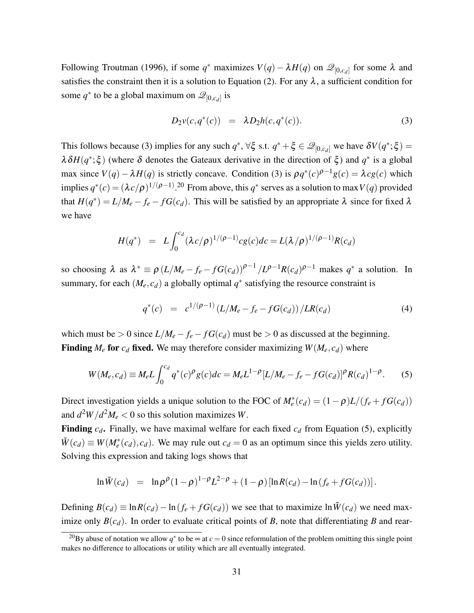Following [Troutman](#page-28-14) [\(1996\)](#page-28-14), if some  $q^*$  maximizes  $V(q) - \lambda H(q)$  on  $\mathscr{Q}_{[0,c_d]}$  for some  $\lambda$  and satisfies the constraint then it is a solution to Equation [\(2\)](#page-29-0). For any  $\lambda$ , a sufficient condition for some  $q^*$  to be a global maximum on  $\mathscr{Q}_{[0,c_d]}$  is

<span id="page-30-0"></span>
$$
D_2v(c,q^*(c)) = \lambda D_2h(c,q^*(c)).
$$
\n(3)

This follows because [\(3\)](#page-30-0) implies for any such  $q^*$ ,  $\forall \xi$  s.t.  $q^* + \xi \in \mathcal{Q}_{[0,c_d]}$  we have  $\delta V(q^*; \xi) =$  $\lambda \delta H(q^*; \xi)$  (where δ denotes the Gateaux derivative in the direction of  $\xi$ ) and  $q^*$  is a global max since  $V(q) - \lambda H(q)$  is strictly concave. Condition [\(3\)](#page-30-0) is  $\rho q^*(c)^{\rho-1} g(c) = \lambda c g(c)$  which implies  $q^*(c) = (\lambda c/\rho)^{1/(\rho-1)}$ .<sup>[20](#page-0-0)</sup> From above, this  $q^*$  serves as a solution to max  $V(q)$  provided that  $H(q^*) = L/M_e - f_e - fG(c_d)$ . This will be satisfied by an appropriate  $\lambda$  since for fixed  $\lambda$ we have

$$
H(q^*) = L \int_0^{c_d} (\lambda c/\rho)^{1/(\rho-1)} c g(c) dc = L(\lambda/\rho)^{1/(\rho-1)} R(c_d)
$$

so choosing  $\lambda$  as  $\lambda^* \equiv \rho (L/M_e - f_e - f G(c_d))^{\rho-1} / L^{\rho-1} R(c_d)^{\rho-1}$  makes  $q^*$  a solution. In summary, for each  $(M_e, c_d)$  a globally optimal  $q^*$  satisfying the resource constraint is

<span id="page-30-1"></span>
$$
q^*(c) = c^{1/(\rho-1)} (L/M_e - f_e - fG(c_d)) / LR(c_d)
$$
 (4)

which must be > 0 since  $L/M_e - f_e - f G(c_d)$  must be > 0 as discussed at the beginning. **Finding**  $M_e$  for  $c_d$  fixed. We may therefore consider maximizing  $W(M_e, c_d)$  where

$$
W(M_e, c_d) \equiv M_e L \int_0^{c_d} q^*(c)^\rho g(c) dc = M_e L^{1-\rho} [L/M_e - f_e - f G(c_d)]^\rho R(c_d)^{1-\rho}.
$$
 (5)

Direct investigation yields a unique solution to the FOC of  $M_e^*(c_d) = (1 - \rho)L/(f_e + fG(c_d))$ and  $d^2W/d^2M_e < 0$  so this solution maximizes W.

**Finding**  $c_d$ . Finally, we have maximal welfare for each fixed  $c_d$  from Equation [\(5\)](#page-30-1), explicitly  $\tilde{W}(c_d) \equiv W(M_e^*(c_d), c_d)$ . We may rule out  $c_d = 0$  as an optimum since this yields zero utility. Solving this expression and taking logs shows that

$$
\ln \tilde{W}(c_d) = \ln \rho^{\rho} (1-\rho)^{1-\rho} L^{2-\rho} + (1-\rho) [\ln R(c_d) - \ln (f_e + f G(c_d))].
$$

Defining  $B(c_d)$  ≡ ln  $R(c_d)$  − ln ( $f_e$  +  $fG(c_d)$ ) we see that to maximize ln  $\tilde{W}(c_d)$  we need maximize only  $B(c_d)$ . In order to evaluate critical points of *B*, note that differentiating *B* and rear-

<sup>&</sup>lt;sup>20</sup>By abuse of notation we allow  $q^*$  to be  $\infty$  at  $c = 0$  since reformulation of the problem omitting this single point makes no difference to allocations or utility which are all eventually integrated.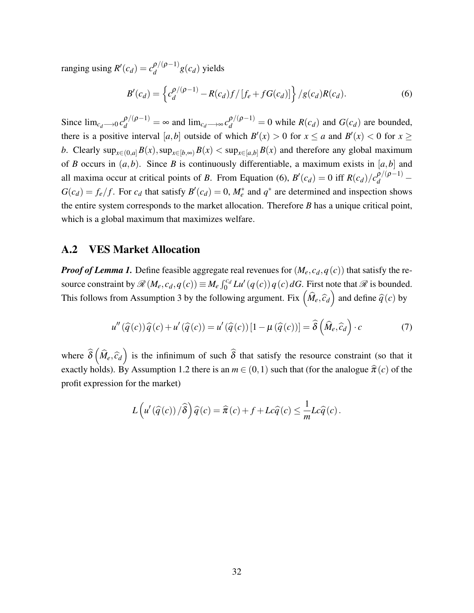ranging using  $R'(c_d) = c_d^{\rho/(\rho-1)}$  $g^{(p)}(q-1)}g(c_d)$  yields

<span id="page-31-0"></span>
$$
B'(c_d) = \left\{ c_d^{\rho/(\rho-1)} - R(c_d) f / [f_e + f G(c_d)] \right\} / g(c_d) R(c_d).
$$
 (6)

Since  $\lim_{c_d \to 0} c_d^{\rho/(\rho-1)} = \infty$  and  $\lim_{c_d \to \infty} c_d^{\rho/(\rho-1)} = 0$  while  $R(c_d)$  and  $G(c_d)$  are bounded, there is a positive interval [a, b] outside of which  $B'(x) > 0$  for  $x \le a$  and  $B'(x) < 0$  for  $x \ge b$ *b*. Clearly  $\sup_{x \in (0,a]} B(x), \sup_{x \in [b,\infty)} B(x) < \sup_{x \in [a,b]} B(x)$  and therefore any global maximum of *B* occurs in  $(a, b)$ . Since *B* is continuously differentiable, a maximum exists in  $[a, b]$  and all maxima occur at critical points of *B*. From Equation [\(6\)](#page-31-0),  $B'(c_d) = 0$  iff  $R(c_d)/c_d^{D/(\rho-1)}$  –  $G(c_d) = f_e/f$ . For  $c_d$  that satisfy  $B'(c_d) = 0$ ,  $M_e^*$  and  $q^*$  are determined and inspection shows the entire system corresponds to the market allocation. Therefore *B* has a unique critical point, which is a global maximum that maximizes welfare.

### A.2 VES Market Allocation

*Proof of Lemma [1.](#page-12-0)* Define feasible aggregate real revenues for  $(M_e, c_d, q(c))$  that satisfy the resource constraint by  $\mathcal{R}(M_e, c_d, q(c)) \equiv M_e \int_0^{c_d} L u'(q(c)) q(c) dG$ . First note that  $\mathcal{R}$  is bounded. This follows from Assumption [3](#page-8-0) by the following argument. Fix  $(\widehat{M}_e, \widehat{c}_d)$  and define  $\widehat{q}(c)$  by

$$
u''(\widehat{q}(c))\widehat{q}(c) + u'(\widehat{q}(c)) = u'(\widehat{q}(c))[1 - \mu(\widehat{q}(c))] = \widehat{\delta}\left(\widehat{M}_e, \widehat{c}_d\right) \cdot c \tag{7}
$$

where  $\hat{\delta}$   $(\hat{M}_e, \hat{c}_d)$  is the infinimum of such  $\hat{\delta}$  that satisfy the resource constraint (so that it exactly holds). By Assumption [1.](#page-5-0)2 there is an  $m \in (0,1)$  such that (for the analogue  $\hat{\pi}(c)$  of the profit expression for the market)

<span id="page-31-1"></span>
$$
L\left(u'\left(\widehat{q}(c)\right)/\widehat{\delta}\right)\widehat{q}(c) = \widehat{\pi}(c) + f + Lc\widehat{q}(c) \le \frac{1}{m}Lc\widehat{q}(c).
$$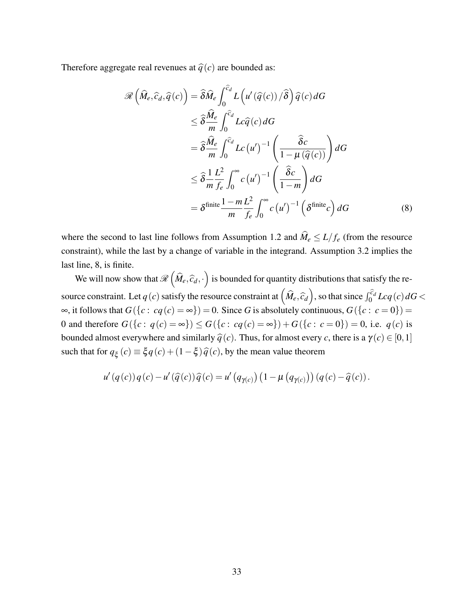Therefore aggregate real revenues at  $\hat{q}(c)$  are bounded as:

<span id="page-32-0"></span>
$$
\mathcal{R}\left(\widehat{M}_e, \widehat{c}_d, \widehat{q}(c)\right) = \widehat{\delta}\widehat{M}_e \int_0^{\widehat{c}_d} L\left(u'(\widehat{q}(c))/\widehat{\delta}\right) \widehat{q}(c) dG
$$
  
\n
$$
\leq \widehat{\delta}\frac{\widehat{M}_e}{m} \int_0^{\widehat{c}_d} Lc \widehat{q}(c) dG
$$
  
\n
$$
= \widehat{\delta}\frac{\widehat{M}_e}{m} \int_0^{\widehat{c}_d} Lc\left(u'\right)^{-1} \left(\frac{\widehat{\delta}c}{1-\mu(\widehat{q}(c))}\right) dG
$$
  
\n
$$
\leq \widehat{\delta}\frac{1}{m} \frac{L^2}{f_e} \int_0^\infty c\left(u'\right)^{-1} \left(\frac{\widehat{\delta}c}{1-m}\right) dG
$$
  
\n
$$
= \delta^{\text{finite}} \frac{1-m}{m} \frac{L^2}{f_e} \int_0^\infty c\left(u'\right)^{-1} \left(\delta^{\text{finite}}c\right) dG
$$
 (8)

where the second to last line follows from Assumption [1.](#page-5-0)2 and  $\hat{M}_e \le L/f_e$  (from the resource constraint), while the last by a change of variable in the integrand. Assumption [3.](#page-8-0)2 implies the last line, [8,](#page-32-0) is finite.

We will now show that  $\mathcal{R}(\hat{M}_e, \hat{c}_d, \cdot)$  is bounded for quantity distributions that satisfy the resource constraint. Let *q*(*c*) satisfy the resource constraint at  $(\hat{M}_e, \hat{c}_d)$ , so that since  $\int_0^{\hat{c}_d} L c q(c) dG$  < ∞, it follows that  $G({c : cq(c) = ∞}) = 0$ . Since *G* is absolutely continuous,  $G({c : c = 0}) =$ 0 and therefore  $G({c : q(c) = \infty}) \le G({c : cq(c) = \infty}) + G({c : c = 0}) = 0$ , i.e.  $q(c)$  is bounded almost everywhere and similarly  $\hat{q}(c)$ . Thus, for almost every *c*, there is a  $\gamma(c) \in [0,1]$ such that for  $q_{\xi}(c) \equiv \xi q(c) + (1 - \xi) \hat{q}(c)$ , by the mean value theorem

$$
u'(q(c))q(c) - u'(\widehat{q}(c))\widehat{q}(c) = u'(q_{\gamma(c)})\left(1 - \mu(q_{\gamma(c)})\right)(q(c) - \widehat{q}(c)).
$$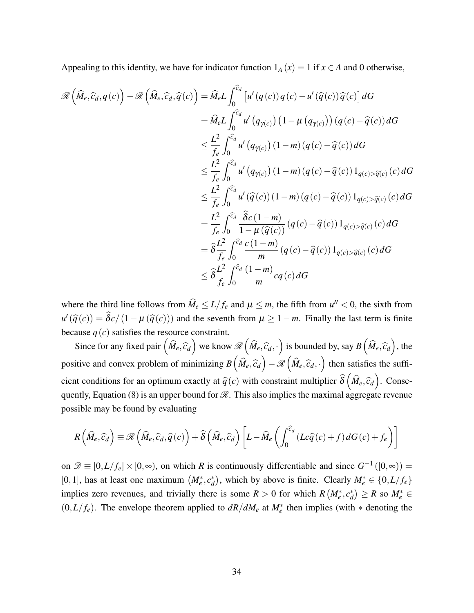Appealing to this identity, we have for indicator function  $1_A(x) = 1$  if  $x \in A$  and 0 otherwise,

$$
\mathcal{R}\left(\widehat{M}_{e},\widehat{c}_{d},q(c)\right) - \mathcal{R}\left(\widehat{M}_{e},\widehat{c}_{d},\widehat{q}(c)\right) = \widehat{M}_{e}L\int_{0}^{\widehat{c}_{d}}\left[u'(q(c))q(c)-u'(\widehat{q}(c))\widehat{q}(c)\right]dG
$$
  
\n
$$
= \widehat{M}_{e}L\int_{0}^{\widehat{c}_{d}}u'(q_{\gamma(c)})\left(1-\mu\left(q_{\gamma(c)}\right)\right)\left(q(c)-\widehat{q}(c)\right)dG
$$
  
\n
$$
\leq \frac{L^{2}}{f_{e}}\int_{0}^{\widehat{c}_{d}}u'(q_{\gamma(c)})\left(1-m\right)\left(q(c)-\widehat{q}(c)\right)dG
$$
  
\n
$$
\leq \frac{L^{2}}{f_{e}}\int_{0}^{\widehat{c}_{d}}u'(q_{\gamma(c)})\left(1-m\right)\left(q(c)-\widehat{q}(c)\right)1_{q(c)>\widehat{q}(c)}(c)dG
$$
  
\n
$$
\leq \frac{L^{2}}{f_{e}}\int_{0}^{\widehat{c}_{d}}u'(\widehat{q}(c))\left(1-m\right)\left(q(c)-\widehat{q}(c)\right)1_{q(c)>\widehat{q}(c)}(c)dG
$$
  
\n
$$
= \frac{L^{2}}{f_{e}}\int_{0}^{\widehat{c}_{d}}\frac{\widehat{\delta}c\left(1-m\right)}{1-\mu\left(\widehat{q}(c)\right)}\left(q(c)-\widehat{q}(c)\right)1_{q(c)>\widehat{q}(c)}(c)dG
$$
  
\n
$$
= \widehat{\delta}\frac{L^{2}}{f_{e}}\int_{0}^{\widehat{c}_{d}}\frac{c\left(1-m\right)}{m}\left(q(c)-\widehat{q}(c)\right)1_{q(c)>\widehat{q}(c)}(c)dG
$$
  
\n
$$
\leq \widehat{\delta}\frac{L^{2}}{f_{e}}\int_{0}^{\widehat{c}_{d}}\frac{\widehat{c}_{d}\left(1-m\right)}{m}cq(c)dG
$$

where the third line follows from  $\widehat{M}_e \le L/f_e$  and  $\mu \le m$ , the fifth from  $u'' < 0$ , the sixth from  $u'(\hat{q}(c)) = \hat{\delta c}/(1 - \mu(\hat{q}(c)))$  and the seventh from  $\mu \ge 1 - m$ . Finally the last term is finite because  $q(c)$  satisfies the resource constraint.

Since for any fixed pair  $(\widehat{M}_e, \widehat{c}_d)$  we know  $\mathcal{R}(\widehat{M}_e, \widehat{c}_d, \cdot)$  is bounded by, say  $B(\widehat{M}_e, \widehat{c}_d)$ , the positive and convex problem of minimizing  $B(\hat{M}_e, \hat{c}_d) - \mathcal{R}(\hat{M}_e, \hat{c}_d, \cdot)$  then satisfies the sufficient conditions for an optimum exactly at  $\hat{q}(c)$  with constraint multiplier  $\hat{\delta}(\hat{M}_e, \hat{c}_d)$ . Conse-quently, Equation [\(8\)](#page-32-0) is an upper bound for  $\mathcal{R}$ . This also implies the maximal aggregate revenue possible may be found by evaluating

$$
R\left(\widehat{M}_e,\widehat{c}_d\right) \equiv \mathscr{R}\left(\widehat{M}_e,\widehat{c}_d,\widehat{q}(c)\right) + \widehat{\delta}\left(\widehat{M}_e,\widehat{c}_d\right)\left[L - \widehat{M}_e\left(\int_0^{\widehat{c}_d} (Lc\widehat{q}(c) + f) dG(c) + f_e\right)\right]
$$

on  $\mathscr{D} \equiv [0, L/f_e] \times [0, \infty)$ , on which *R* is continuously differentiable and since  $G^{-1}([0, \infty)) =$ [0, 1], has at least one maximum  $(M_e^*, c_d^*)$  $d$ , which by above is finite. Clearly  $M_e^* \in \{0, L/f_e\}$ implies zero revenues, and trivially there is some  $\underline{R} > 0$  for which  $R\left(M_e^*, c_d^*\right)$  $\binom{a}{d}$  ≥ <u>R</u> so  $M_e^*$  ∈  $(0, L/f_e)$ . The envelope theorem applied to  $dR/dM_e$  at  $M_e^*$  then implies (with  $*$  denoting the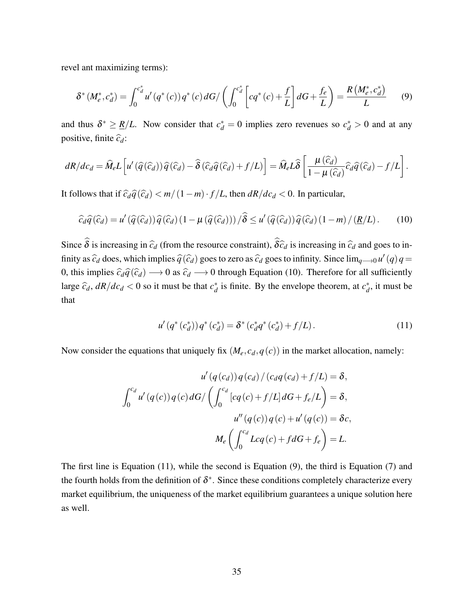revel ant maximizing terms):

<span id="page-34-2"></span>
$$
\delta^*(M_e^*, c_d^*) = \int_0^{c_d^*} u'(q^*(c)) q^*(c) dG / \left( \int_0^{c_d^*} \left[ cq^*(c) + \frac{f}{L} \right] dG + \frac{f_e}{L} \right) = \frac{R(M_e^*, c_d^*)}{L}
$$
(9)

and thus  $\delta^* \geq \frac{R}{L}$ . Now consider that  $c_d^* = 0$  implies zero revenues so  $c_d^* > 0$  and at any positive, finite  $\hat{c}_d$ :

$$
dR/dc_d = \widehat{M}_e L \left[ u' \left( \widehat{q} \left( \widehat{c}_d \right) \right) \widehat{q} \left( \widehat{c}_d \right) - \widehat{\delta} \left( \widehat{c}_d \widehat{q} \left( \widehat{c}_d \right) + f/L \right) \right] = \widehat{M}_e L \widehat{\delta} \left[ \frac{\mu \left( \widehat{c}_d \right)}{1 - \mu \left( \widehat{c}_d \right)} \widehat{c}_d \widehat{q} \left( \widehat{c}_d \right) - f/L \right].
$$

It follows that if  $\hat{c}_d\hat{q}(\hat{c}_d) < m/(1-m)\cdot f/L$ , then  $dR/dc_d < 0$ . In particular,

$$
\widehat{c}_d\widehat{q}(\widehat{c}_d) = u'\left(\widehat{q}(\widehat{c}_d)\right)\widehat{q}(\widehat{c}_d)\left(1 - \mu\left(\widehat{q}(\widehat{c}_d)\right)\right)/\widehat{\delta} \le u'\left(\widehat{q}(\widehat{c}_d)\right)\widehat{q}(\widehat{c}_d)\left(1 - m\right)/\left(\underline{R}/L\right). \tag{10}
$$

Since  $\hat{\delta}$  is increasing in  $\hat{c}_d$  (from the resource constraint),  $\hat{\delta} \hat{c}_d$  is increasing in  $\hat{c}_d$  and goes to infinity as  $\hat{c}_d$  does, which implies  $\hat{q}(\hat{c}_d)$  goes to zero as  $\hat{c}_d$  goes to infinity. Since  $\lim_{q\to 0} u'(q)q =$ 0, this implies  $\hat{c}_d\hat{q}(\hat{c}_d) \rightarrow 0$  as  $\hat{c}_d \rightarrow 0$  through Equation [\(10\)](#page-34-0). Therefore for all sufficiently large  $\hat{c}_d$ ,  $dR/dc_d < 0$  so it must be that  $c_d^*$ *d* is finite. By the envelope theorem, at *c* ∗  $_d^*$ , it must be that

<span id="page-34-1"></span><span id="page-34-0"></span>
$$
u'(q^*(c_d^*))q^*(c_d^*) = \delta^*(c_d^*q^*(c_d^*) + f/L). \tag{11}
$$

Now consider the equations that uniquely fix  $(M_e, c_d, q(c))$  in the market allocation, namely:

$$
u'(q(c_d))q(c_d)/(c_dq(c_d)+f/L) = \delta,
$$
  

$$
\int_0^{c_d} u'(q(c))q(c)dG/\left(\int_0^{c_d} [cq(c)+f/L]dG+f_e/L\right) = \delta,
$$
  

$$
u''(q(c))q(c)+u'(q(c)) = \delta c,
$$
  

$$
M_e\left(\int_0^{c_d} Lcq(c)+fdG+f_e\right) = L.
$$

The first line is Equation [\(11\)](#page-34-1), while the second is Equation [\(9\)](#page-34-2), the third is Equation [\(7\)](#page-31-1) and the fourth holds from the definition of  $\delta^*$ . Since these conditions completely characterize every market equilibrium, the uniqueness of the market equilibrium guarantees a unique solution here as well.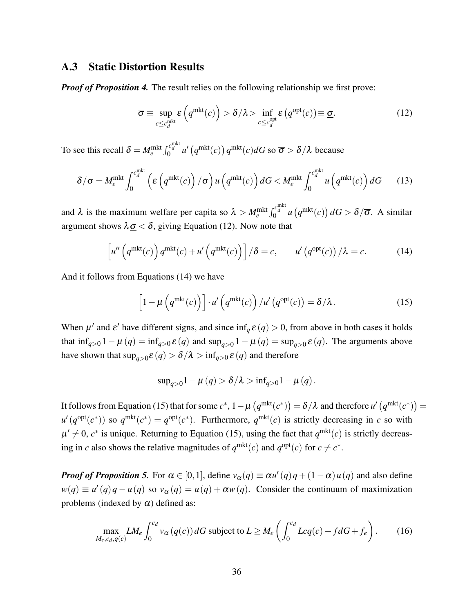### A.3 Static Distortion Results

*Proof of Proposition [4.](#page-17-0)* The result relies on the following relationship we first prove:

<span id="page-35-0"></span>
$$
\overline{\sigma} \equiv \sup_{c \le c_d^{\text{mkt}}} \varepsilon \left( q^{\text{mkt}}(c) \right) > \delta/\lambda > \inf_{c \le c_d^{\text{opt}}} \varepsilon \left( q^{\text{opt}}(c) \right) \equiv \underline{\sigma}.
$$
 (12)

To see this recall  $\delta = M_e^{\text{mkt}} \int_0^{c_d^{\text{mkt}}} u' \left( q^{\text{mkt}}(c) \right) q^{\text{mkt}}(c) dG$  so  $\overline{\sigma} > \delta/\lambda$  because

$$
\delta/\overline{\sigma} = M_e^{\text{mkt}} \int_0^{c_d^{\text{mkt}}} \left( \varepsilon \left( q^{\text{mkt}}(c) \right) / \overline{\sigma} \right) u \left( q^{\text{mkt}}(c) \right) dG < M_e^{\text{mkt}} \int_0^{c_d^{\text{mkt}}} u \left( q^{\text{mkt}}(c) \right) dG \qquad (13)
$$

and  $\lambda$  is the maximum welfare per capita so  $\lambda > M_e^{\text{mkt}} \int_0^{c_d^{\text{mkt}}} u(q^{\text{mkt}}(c)) dG > \delta/\overline{\sigma}$ . A similar argument shows  $\lambda \sigma < \delta$ , giving Equation [\(12\)](#page-35-0). Now note that

$$
\left[u''\left(q^{\text{mkt}}(c)\right)q^{\text{mkt}}(c) + u'\left(q^{\text{mkt}}(c)\right)\right]/\delta = c, \qquad u'\left(q^{\text{opt}}(c)\right)/\lambda = c. \tag{14}
$$

And it follows from Equations [\(14\)](#page-35-1) we have

<span id="page-35-1"></span>
$$
\[1 - \mu\left(q^{\text{mkt}}(c)\right)\] \cdot u'\left(q^{\text{mkt}}(c)\right) / u'\left(q^{\text{opt}}(c)\right) = \delta/\lambda. \tag{15}
$$

When  $\mu'$  and  $\varepsilon'$  have different signs, and since  $\inf_q \varepsilon(q) > 0$ , from above in both cases it holds that  $\inf_{q>0} 1 - \mu(q) = \inf_{q>0} \varepsilon(q)$  and  $\sup_{q>0} 1 - \mu(q) = \sup_{q>0} \varepsilon(q)$ . The arguments above have shown that  $\sup_{q>0} \mathcal{E}(q) > \delta/\lambda > \inf_{q>0} \mathcal{E}(q)$  and therefore

<span id="page-35-3"></span><span id="page-35-2"></span>
$$
\sup_{q>0} 1 - \mu(q) > \delta/\lambda > \inf_{q>0} 1 - \mu(q).
$$

It follows from Equation [\(15\)](#page-35-2) that for some  $c^*$ ,  $1-\mu\left(q^{\text{mkt}}(c^*)\right)=\delta/\lambda$  and therefore  $u'\left(q^{\text{mkt}}(c^*)\right)=$  $u'(q^{\text{opt}}(c^*))$  so  $q^{\text{mkt}}(c^*) = q^{\text{opt}}(c^*)$ . Furthermore,  $q^{\text{mkt}}(c)$  is strictly decreasing in *c* so with  $\mu' \neq 0$ ,  $c^*$  is unique. Returning to Equation [\(15\)](#page-35-2), using the fact that  $q^{\text{mkt}}(c)$  is strictly decreasing in *c* also shows the relative magnitudes of  $q^{\text{mkt}}(c)$  and  $q^{\text{opt}}(c)$  for  $c \neq c^*$ .

*Proof of Proposition* [5.](#page-17-1) For  $\alpha \in [0,1]$ , define  $v_{\alpha}(q) \equiv \alpha u'(q)q + (1-\alpha)u(q)$  and also define  $w(q) \equiv u'(q)q - u(q)$  so  $v_\alpha(q) = u(q) + \alpha w(q)$ . Consider the continuum of maximization problems (indexed by  $\alpha$ ) defined as:

$$
\max_{M_e, c_d, q(c)} LM_e \int_0^{c_d} v_\alpha(q(c)) dG \text{ subject to } L \ge M_e \left( \int_0^{c_d} Lcq(c) + f dG + f_e \right). \tag{16}
$$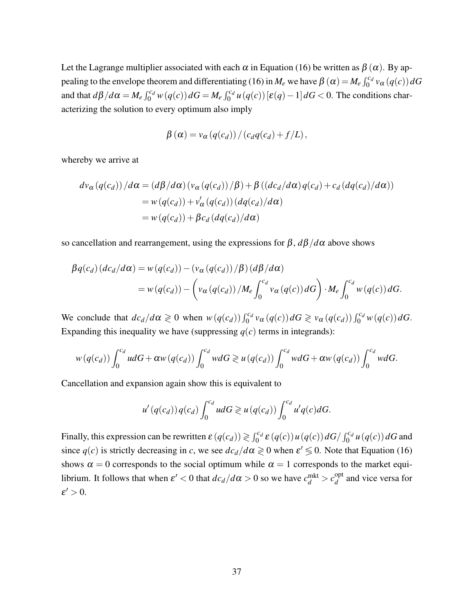Let the Lagrange multiplier associated with each  $\alpha$  in Equation [\(16\)](#page-35-3) be written as  $\beta(\alpha)$ . By ap-pealing to the envelope theorem and differentiating [\(16\)](#page-35-3) in  $M_e$  we have  $\beta(\alpha) = M_e \int_0^{c_d} v_\alpha(q(c)) dG$ and that  $d\beta/d\alpha = M_e \int_0^{c_d} w(q(c)) dG = M_e \int_0^{c_d} u(q(c)) [\varepsilon(q) - 1] dG < 0$ . The conditions characterizing the solution to every optimum also imply

$$
\beta(\alpha) = v_{\alpha}(q(c_d)) / (c_d q(c_d) + f/L),
$$

whereby we arrive at

$$
dv_{\alpha}(q(c_d)) / d\alpha = (d\beta / d\alpha) (v_{\alpha}(q(c_d)) / \beta) + \beta ((dc_d / d\alpha) q(c_d) + c_d (dq(c_d) / d\alpha))
$$
  
=  $w(q(c_d)) + v'_{\alpha}(q(c_d)) (dq(c_d) / d\alpha)$   
=  $w(q(c_d)) + \beta c_d (dq(c_d) / d\alpha)$ 

so cancellation and rearrangement, using the expressions for β, *d*β/*d*α above shows

$$
\beta q(c_d) (dc_d/d\alpha) = w(q(c_d)) - (v_{\alpha}(q(c_d)) / \beta) (d\beta/d\alpha)
$$
  
= 
$$
w(q(c_d)) - (v_{\alpha}(q(c_d)) / M_e \int_0^{c_d} v_{\alpha}(q(c)) dG) \cdot M_e \int_0^{c_d} w(q(c)) dG.
$$

We conclude that  $dc_d/d\alpha \geq 0$  when  $w(q(c_d)) \int_0^{c_d} v_\alpha(q(c)) dG \geq v_\alpha(q(c_d)) \int_0^{c_d} w(q(c)) dG$ . Expanding this inequality we have (suppressing  $q(c)$  terms in integrands):

$$
w(q(c_d))\int_0^{c_d}udG+\alpha w(q(c_d))\int_0^{c_d}wdG \geq u(q(c_d))\int_0^{c_d}wdG+\alpha w(q(c_d))\int_0^{c_d}wdG.
$$

Cancellation and expansion again show this is equivalent to

$$
u'(q(c_d))q(c_d)\int_0^{c_d}udG\geqslant u(q(c_d))\int_0^{c_d}u'q(c)dG.
$$

Finally, this expression can be rewritten  $\varepsilon(q(c_d)) \geq \int_0^{c_d} \varepsilon(q(c)) u(q(c)) dG / \int_0^{c_d} u(q(c)) dG$  and since  $q(c)$  is strictly decreasing in *c*, we see  $dc_d/d\alpha \geq 0$  when  $\varepsilon' \leq 0$ . Note that Equation [\(16\)](#page-35-3) shows  $\alpha = 0$  corresponds to the social optimum while  $\alpha = 1$  corresponds to the market equilibrium. It follows that when  $\varepsilon' < 0$  that  $dc_d/d\alpha > 0$  so we have  $c_d^{\text{mkt}} > c_d^{\text{opt}}$  $\frac{d}{d}$  and vice versa for  $\varepsilon' > 0$ .